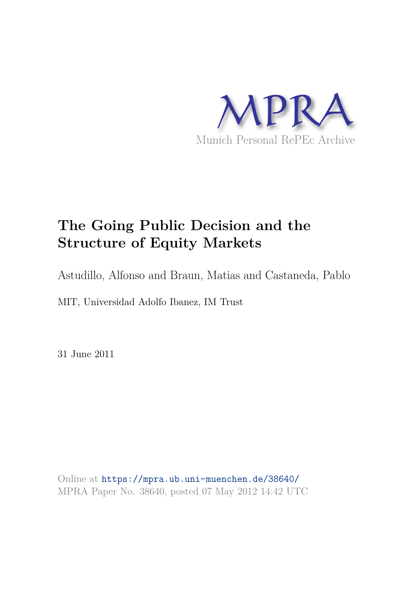

# **The Going Public Decision and the Structure of Equity Markets**

Astudillo, Alfonso and Braun, Matias and Castaneda, Pablo

MIT, Universidad Adolfo Ibanez, IM Trust

31 June 2011

Online at https://mpra.ub.uni-muenchen.de/38640/ MPRA Paper No. 38640, posted 07 May 2012 14:42 UTC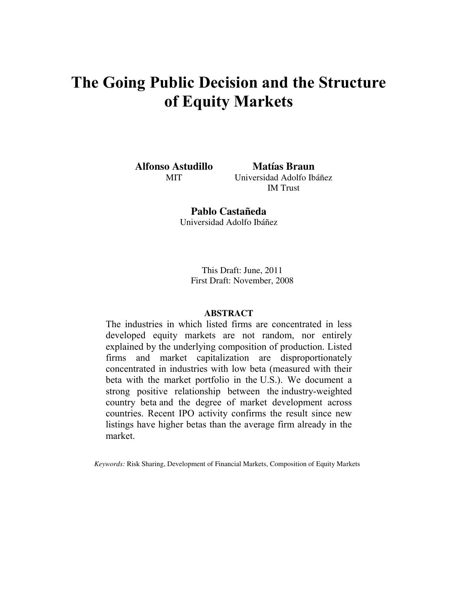# **The Going Public Decision and the Structure of Equity Markets**

**Alfonso Astudillo**  MIT

**Matías Braun**  Universidad Adolfo Ibáñez IM Trust

**Pablo Castañeda**  Universidad Adolfo Ibáñez

> This Draft: June, 2011 First Draft: November, 2008

# **ABSTRACT**

The industries in which listed firms are concentrated in less developed equity markets are not random, nor entirely explained by the underlying composition of production. Listed firms and market capitalization are disproportionately concentrated in industries with low beta (measured with their beta with the market portfolio in the U.S.). We document a strong positive relationship between the industry-weighted country beta and the degree of market development across countries. Recent IPO activity confirms the result since new listings have higher betas than the average firm already in the market.

*Keywords:* Risk Sharing, Development of Financial Markets, Composition of Equity Markets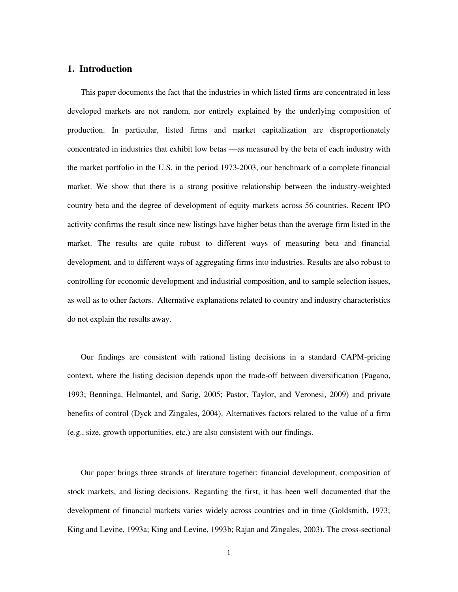# **1. Introduction**

This paper documents the fact that the industries in which listed firms are concentrated in less developed markets are not random, nor entirely explained by the underlying composition of production. In particular, listed firms and market capitalization are disproportionately concentrated in industries that exhibit low betas —as measured by the beta of each industry with the market portfolio in the U.S. in the period 1973-2003, our benchmark of a complete financial market. We show that there is a strong positive relationship between the industry-weighted country beta and the degree of development of equity markets across 56 countries. Recent IPO activity confirms the result since new listings have higher betas than the average firm listed in the market. The results are quite robust to different ways of measuring beta and financial development, and to different ways of aggregating firms into industries. Results are also robust to controlling for economic development and industrial composition, and to sample selection issues, as well as to other factors. Alternative explanations related to country and industry characteristics do not explain the results away.

Our findings are consistent with rational listing decisions in a standard CAPM-pricing context, where the listing decision depends upon the trade-off between diversification (Pagano, 1993; Benninga, Helmantel, and Sarig, 2005; Pastor, Taylor, and Veronesi, 2009) and private benefits of control (Dyck and Zingales, 2004). Alternatives factors related to the value of a firm (e.g., size, growth opportunities, etc.) are also consistent with our findings.

Our paper brings three strands of literature together: financial development, composition of stock markets, and listing decisions. Regarding the first, it has been well documented that the development of financial markets varies widely across countries and in time (Goldsmith, 1973; King and Levine, 1993a; King and Levine, 1993b; Rajan and Zingales, 2003). The cross-sectional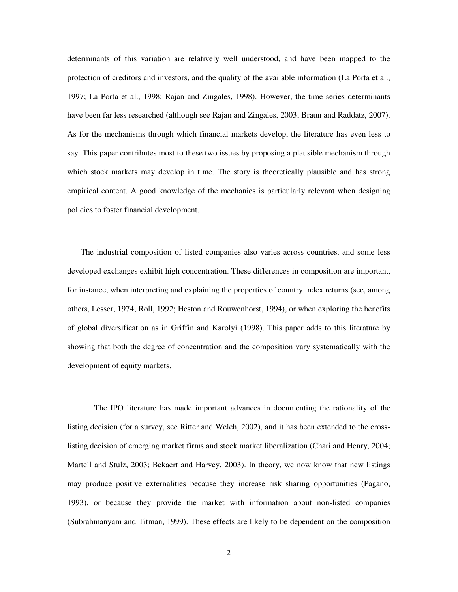determinants of this variation are relatively well understood, and have been mapped to the protection of creditors and investors, and the quality of the available information (La Porta et al., 1997; La Porta et al., 1998; Rajan and Zingales, 1998). However, the time series determinants have been far less researched (although see Rajan and Zingales, 2003; Braun and Raddatz, 2007). As for the mechanisms through which financial markets develop, the literature has even less to say. This paper contributes most to these two issues by proposing a plausible mechanism through which stock markets may develop in time. The story is theoretically plausible and has strong empirical content. A good knowledge of the mechanics is particularly relevant when designing policies to foster financial development.

The industrial composition of listed companies also varies across countries, and some less developed exchanges exhibit high concentration. These differences in composition are important, for instance, when interpreting and explaining the properties of country index returns (see, among others, Lesser, 1974; Roll, 1992; Heston and Rouwenhorst, 1994), or when exploring the benefits of global diversification as in Griffin and Karolyi (1998). This paper adds to this literature by showing that both the degree of concentration and the composition vary systematically with the development of equity markets.

The IPO literature has made important advances in documenting the rationality of the listing decision (for a survey, see Ritter and Welch, 2002), and it has been extended to the crosslisting decision of emerging market firms and stock market liberalization (Chari and Henry, 2004; Martell and Stulz, 2003; Bekaert and Harvey, 2003). In theory, we now know that new listings may produce positive externalities because they increase risk sharing opportunities (Pagano, 1993), or because they provide the market with information about non-listed companies (Subrahmanyam and Titman, 1999). These effects are likely to be dependent on the composition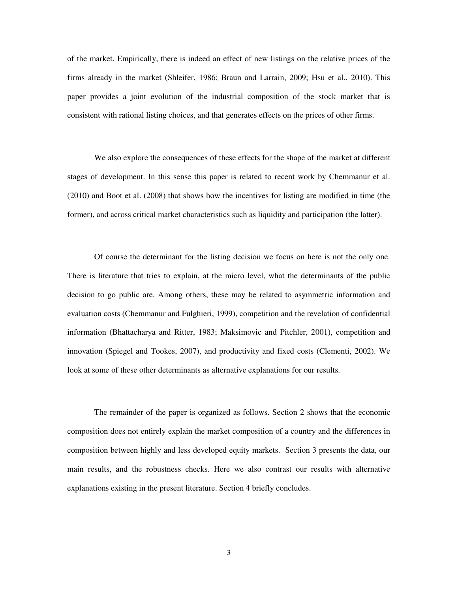of the market. Empirically, there is indeed an effect of new listings on the relative prices of the firms already in the market (Shleifer, 1986; Braun and Larrain, 2009; Hsu et al., 2010). This paper provides a joint evolution of the industrial composition of the stock market that is consistent with rational listing choices, and that generates effects on the prices of other firms.

We also explore the consequences of these effects for the shape of the market at different stages of development. In this sense this paper is related to recent work by Chemmanur et al. (2010) and Boot et al. (2008) that shows how the incentives for listing are modified in time (the former), and across critical market characteristics such as liquidity and participation (the latter).

Of course the determinant for the listing decision we focus on here is not the only one. There is literature that tries to explain, at the micro level, what the determinants of the public decision to go public are. Among others, these may be related to asymmetric information and evaluation costs (Chemmanur and Fulghieri, 1999), competition and the revelation of confidential information (Bhattacharya and Ritter, 1983; Maksimovic and Pitchler, 2001), competition and innovation (Spiegel and Tookes, 2007), and productivity and fixed costs (Clementi, 2002). We look at some of these other determinants as alternative explanations for our results.

The remainder of the paper is organized as follows. Section 2 shows that the economic composition does not entirely explain the market composition of a country and the differences in composition between highly and less developed equity markets. Section 3 presents the data, our main results, and the robustness checks. Here we also contrast our results with alternative explanations existing in the present literature. Section 4 briefly concludes.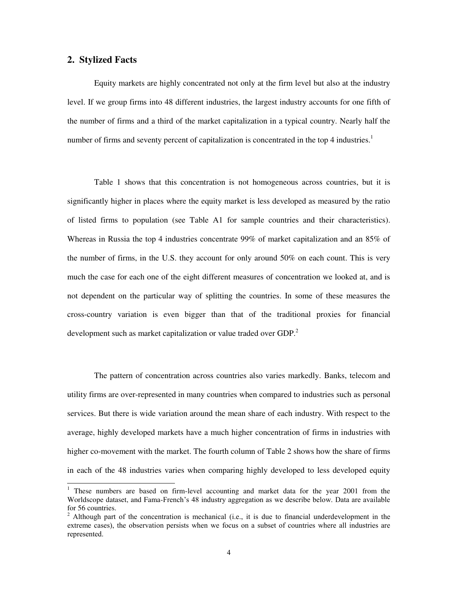# **2. Stylized Facts**

Equity markets are highly concentrated not only at the firm level but also at the industry level. If we group firms into 48 different industries, the largest industry accounts for one fifth of the number of firms and a third of the market capitalization in a typical country. Nearly half the number of firms and seventy percent of capitalization is concentrated in the top 4 industries.<sup>1</sup>

Table 1 shows that this concentration is not homogeneous across countries, but it is significantly higher in places where the equity market is less developed as measured by the ratio of listed firms to population (see Table A1 for sample countries and their characteristics). Whereas in Russia the top 4 industries concentrate 99% of market capitalization and an 85% of the number of firms, in the U.S. they account for only around 50% on each count. This is very much the case for each one of the eight different measures of concentration we looked at, and is not dependent on the particular way of splitting the countries. In some of these measures the cross-country variation is even bigger than that of the traditional proxies for financial development such as market capitalization or value traded over GDP.<sup>2</sup>

The pattern of concentration across countries also varies markedly. Banks, telecom and utility firms are over-represented in many countries when compared to industries such as personal services. But there is wide variation around the mean share of each industry. With respect to the average, highly developed markets have a much higher concentration of firms in industries with higher co-movement with the market. The fourth column of Table 2 shows how the share of firms in each of the 48 industries varies when comparing highly developed to less developed equity

<sup>&</sup>lt;sup>1</sup> These numbers are based on firm-level accounting and market data for the year 2001 from the Worldscope dataset, and Fama-French's 48 industry aggregation as we describe below. Data are available for 56 countries.

 $2$  Although part of the concentration is mechanical (i.e., it is due to financial underdevelopment in the extreme cases), the observation persists when we focus on a subset of countries where all industries are represented.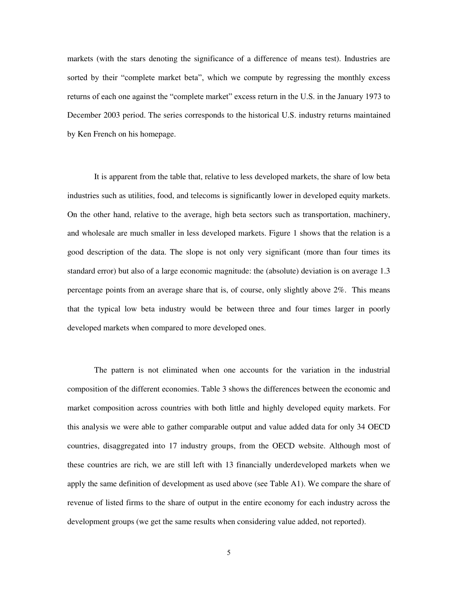markets (with the stars denoting the significance of a difference of means test). Industries are sorted by their "complete market beta", which we compute by regressing the monthly excess returns of each one against the "complete market" excess return in the U.S. in the January 1973 to December 2003 period. The series corresponds to the historical U.S. industry returns maintained by Ken French on his homepage.

It is apparent from the table that, relative to less developed markets, the share of low beta industries such as utilities, food, and telecoms is significantly lower in developed equity markets. On the other hand, relative to the average, high beta sectors such as transportation, machinery, and wholesale are much smaller in less developed markets. Figure 1 shows that the relation is a good description of the data. The slope is not only very significant (more than four times its standard error) but also of a large economic magnitude: the (absolute) deviation is on average 1.3 percentage points from an average share that is, of course, only slightly above 2%. This means that the typical low beta industry would be between three and four times larger in poorly developed markets when compared to more developed ones.

The pattern is not eliminated when one accounts for the variation in the industrial composition of the different economies. Table 3 shows the differences between the economic and market composition across countries with both little and highly developed equity markets. For this analysis we were able to gather comparable output and value added data for only 34 OECD countries, disaggregated into 17 industry groups, from the OECD website. Although most of these countries are rich, we are still left with 13 financially underdeveloped markets when we apply the same definition of development as used above (see Table A1). We compare the share of revenue of listed firms to the share of output in the entire economy for each industry across the development groups (we get the same results when considering value added, not reported).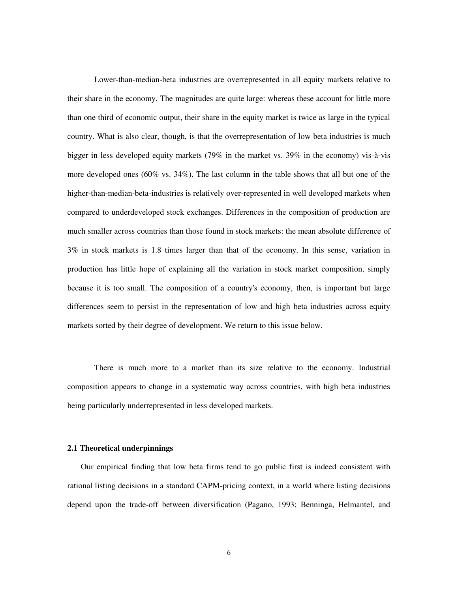Lower-than-median-beta industries are overrepresented in all equity markets relative to their share in the economy. The magnitudes are quite large: whereas these account for little more than one third of economic output, their share in the equity market is twice as large in the typical country. What is also clear, though, is that the overrepresentation of low beta industries is much bigger in less developed equity markets (79% in the market vs. 39% in the economy) vis-à-vis more developed ones (60% vs. 34%). The last column in the table shows that all but one of the higher-than-median-beta-industries is relatively over-represented in well developed markets when compared to underdeveloped stock exchanges. Differences in the composition of production are much smaller across countries than those found in stock markets: the mean absolute difference of 3% in stock markets is 1.8 times larger than that of the economy. In this sense, variation in production has little hope of explaining all the variation in stock market composition, simply because it is too small. The composition of a country's economy, then, is important but large differences seem to persist in the representation of low and high beta industries across equity markets sorted by their degree of development. We return to this issue below.

There is much more to a market than its size relative to the economy. Industrial composition appears to change in a systematic way across countries, with high beta industries being particularly underrepresented in less developed markets.

# **2.1 Theoretical underpinnings**

Our empirical finding that low beta firms tend to go public first is indeed consistent with rational listing decisions in a standard CAPM-pricing context, in a world where listing decisions depend upon the trade-off between diversification (Pagano, 1993; Benninga, Helmantel, and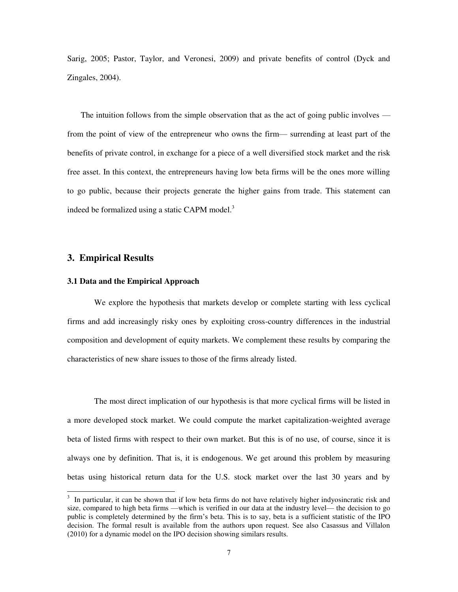Sarig, 2005; Pastor, Taylor, and Veronesi, 2009) and private benefits of control (Dyck and Zingales, 2004).

The intuition follows from the simple observation that as the act of going public involves from the point of view of the entrepreneur who owns the firm— surrending at least part of the benefits of private control, in exchange for a piece of a well diversified stock market and the risk free asset. In this context, the entrepreneurs having low beta firms will be the ones more willing to go public, because their projects generate the higher gains from trade. This statement can indeed be formalized using a static CAPM model.<sup>3</sup>

# **3. Empirical Results**

# **3.1 Data and the Empirical Approach**

We explore the hypothesis that markets develop or complete starting with less cyclical firms and add increasingly risky ones by exploiting cross-country differences in the industrial composition and development of equity markets. We complement these results by comparing the characteristics of new share issues to those of the firms already listed.

The most direct implication of our hypothesis is that more cyclical firms will be listed in a more developed stock market. We could compute the market capitalization-weighted average beta of listed firms with respect to their own market. But this is of no use, of course, since it is always one by definition. That is, it is endogenous. We get around this problem by measuring betas using historical return data for the U.S. stock market over the last 30 years and by

<sup>&</sup>lt;sup>3</sup> In particular, it can be shown that if low beta firms do not have relatively higher indyosincratic risk and size, compared to high beta firms —which is verified in our data at the industry level— the decision to go public is completely determined by the firm's beta. This is to say, beta is a sufficient statistic of the IPO decision. The formal result is available from the authors upon request. See also Casassus and Villalon (2010) for a dynamic model on the IPO decision showing similars results.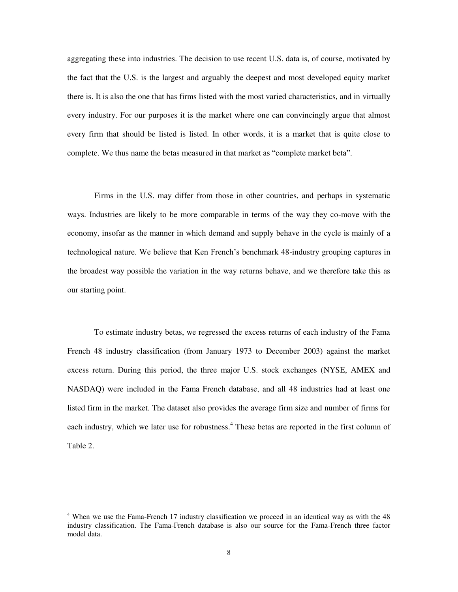aggregating these into industries. The decision to use recent U.S. data is, of course, motivated by the fact that the U.S. is the largest and arguably the deepest and most developed equity market there is. It is also the one that has firms listed with the most varied characteristics, and in virtually every industry. For our purposes it is the market where one can convincingly argue that almost every firm that should be listed is listed. In other words, it is a market that is quite close to complete. We thus name the betas measured in that market as "complete market beta".

Firms in the U.S. may differ from those in other countries, and perhaps in systematic ways. Industries are likely to be more comparable in terms of the way they co-move with the economy, insofar as the manner in which demand and supply behave in the cycle is mainly of a technological nature. We believe that Ken French's benchmark 48-industry grouping captures in the broadest way possible the variation in the way returns behave, and we therefore take this as our starting point.

To estimate industry betas, we regressed the excess returns of each industry of the Fama French 48 industry classification (from January 1973 to December 2003) against the market excess return. During this period, the three major U.S. stock exchanges (NYSE, AMEX and NASDAQ) were included in the Fama French database, and all 48 industries had at least one listed firm in the market. The dataset also provides the average firm size and number of firms for each industry, which we later use for robustness.<sup>4</sup> These betas are reported in the first column of Table 2.

<sup>&</sup>lt;sup>4</sup> When we use the Fama-French 17 industry classification we proceed in an identical way as with the 48 industry classification. The Fama-French database is also our source for the Fama-French three factor model data.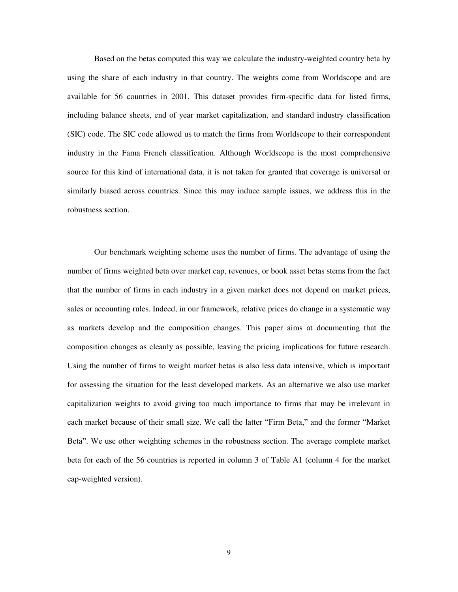Based on the betas computed this way we calculate the industry-weighted country beta by using the share of each industry in that country. The weights come from Worldscope and are available for 56 countries in 2001. This dataset provides firm-specific data for listed firms, including balance sheets, end of year market capitalization, and standard industry classification (SIC) code. The SIC code allowed us to match the firms from Worldscope to their correspondent industry in the Fama French classification. Although Worldscope is the most comprehensive source for this kind of international data, it is not taken for granted that coverage is universal or similarly biased across countries. Since this may induce sample issues, we address this in the robustness section.

Our benchmark weighting scheme uses the number of firms. The advantage of using the number of firms weighted beta over market cap, revenues, or book asset betas stems from the fact that the number of firms in each industry in a given market does not depend on market prices, sales or accounting rules. Indeed, in our framework, relative prices do change in a systematic way as markets develop and the composition changes. This paper aims at documenting that the composition changes as cleanly as possible, leaving the pricing implications for future research. Using the number of firms to weight market betas is also less data intensive, which is important for assessing the situation for the least developed markets. As an alternative we also use market capitalization weights to avoid giving too much importance to firms that may be irrelevant in each market because of their small size. We call the latter "Firm Beta," and the former "Market" Beta". We use other weighting schemes in the robustness section. The average complete market beta for each of the 56 countries is reported in column 3 of Table A1 (column 4 for the market cap-weighted version).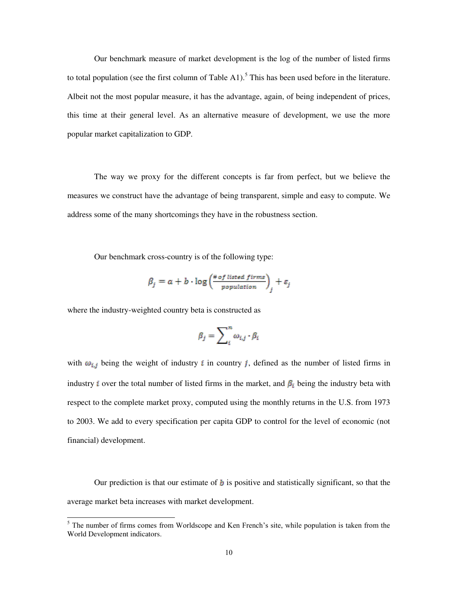Our benchmark measure of market development is the log of the number of listed firms to total population (see the first column of Table A1).<sup>5</sup> This has been used before in the literature. Albeit not the most popular measure, it has the advantage, again, of being independent of prices, this time at their general level. As an alternative measure of development, we use the more popular market capitalization to GDP.

The way we proxy for the different concepts is far from perfect, but we believe the measures we construct have the advantage of being transparent, simple and easy to compute. We address some of the many shortcomings they have in the robustness section.

Our benchmark cross-country is of the following type:

$$
\beta_j = a + b \cdot \log \left( \frac{\# of \text{ listed } firms}{population} \right)_j + \varepsilon_j
$$

where the industry-weighted country beta is constructed as

 $\overline{a}$ 

$$
\beta_j = \sum_i^n \omega_{i,j} \cdot \beta_i
$$

with  $\omega_{i,j}$  being the weight of industry *i* in country *j*, defined as the number of listed firms in industry *i* over the total number of listed firms in the market, and  $\beta_i$  being the industry beta with respect to the complete market proxy, computed using the monthly returns in the U.S. from 1973 to 2003. We add to every specification per capita GDP to control for the level of economic (not financial) development.

Our prediction is that our estimate of  $\boldsymbol{b}$  is positive and statistically significant, so that the average market beta increases with market development.

 $<sup>5</sup>$  The number of firms comes from Worldscope and Ken French's site, while population is taken from the</sup> World Development indicators.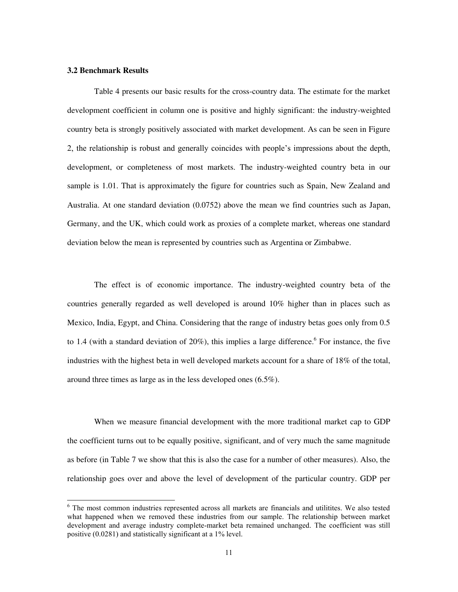# **3.2 Benchmark Results**

 $\overline{a}$ 

Table 4 presents our basic results for the cross-country data. The estimate for the market development coefficient in column one is positive and highly significant: the industry-weighted country beta is strongly positively associated with market development. As can be seen in Figure 2, the relationship is robust and generally coincides with people's impressions about the depth, development, or completeness of most markets. The industry-weighted country beta in our sample is 1.01. That is approximately the figure for countries such as Spain, New Zealand and Australia. At one standard deviation (0.0752) above the mean we find countries such as Japan, Germany, and the UK, which could work as proxies of a complete market, whereas one standard deviation below the mean is represented by countries such as Argentina or Zimbabwe.

The effect is of economic importance. The industry-weighted country beta of the countries generally regarded as well developed is around 10% higher than in places such as Mexico, India, Egypt, and China. Considering that the range of industry betas goes only from 0.5 to 1.4 (with a standard deviation of  $20\%$ ), this implies a large difference.<sup>6</sup> For instance, the five industries with the highest beta in well developed markets account for a share of 18% of the total, around three times as large as in the less developed ones (6.5%).

When we measure financial development with the more traditional market cap to GDP the coefficient turns out to be equally positive, significant, and of very much the same magnitude as before (in Table 7 we show that this is also the case for a number of other measures). Also, the relationship goes over and above the level of development of the particular country. GDP per

<sup>&</sup>lt;sup>6</sup> The most common industries represented across all markets are financials and utilitites. We also tested what happened when we removed these industries from our sample. The relationship between market development and average industry complete-market beta remained unchanged. The coefficient was still positive (0.0281) and statistically significant at a 1% level.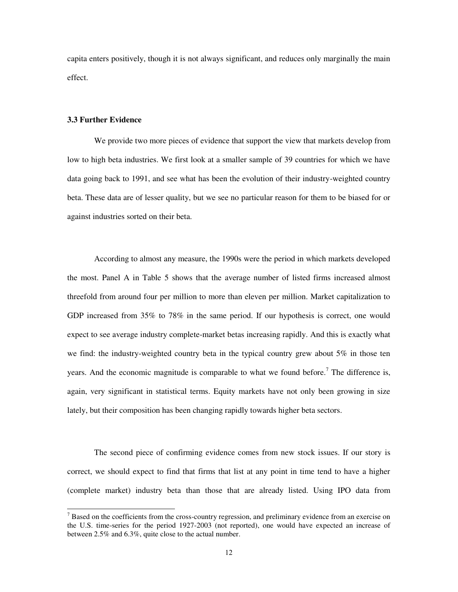capita enters positively, though it is not always significant, and reduces only marginally the main effect.

# **3.3 Further Evidence**

 $\overline{a}$ 

We provide two more pieces of evidence that support the view that markets develop from low to high beta industries. We first look at a smaller sample of 39 countries for which we have data going back to 1991, and see what has been the evolution of their industry-weighted country beta. These data are of lesser quality, but we see no particular reason for them to be biased for or against industries sorted on their beta.

According to almost any measure, the 1990s were the period in which markets developed the most. Panel A in Table 5 shows that the average number of listed firms increased almost threefold from around four per million to more than eleven per million. Market capitalization to GDP increased from 35% to 78% in the same period. If our hypothesis is correct, one would expect to see average industry complete-market betas increasing rapidly. And this is exactly what we find: the industry-weighted country beta in the typical country grew about  $5\%$  in those ten years. And the economic magnitude is comparable to what we found before.<sup>7</sup> The difference is, again, very significant in statistical terms. Equity markets have not only been growing in size lately, but their composition has been changing rapidly towards higher beta sectors.

The second piece of confirming evidence comes from new stock issues. If our story is correct, we should expect to find that firms that list at any point in time tend to have a higher (complete market) industry beta than those that are already listed. Using IPO data from

 $7$  Based on the coefficients from the cross-country regression, and preliminary evidence from an exercise on the U.S. time-series for the period 1927-2003 (not reported), one would have expected an increase of between 2.5% and 6.3%, quite close to the actual number.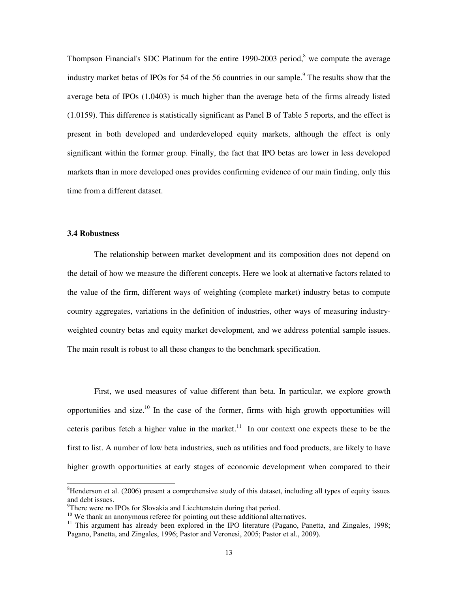Thompson Financial's SDC Platinum for the entire 1990-2003 period, $8$  we compute the average industry market betas of IPOs for 54 of the 56 countries in our sample.<sup>9</sup> The results show that the average beta of IPOs (1.0403) is much higher than the average beta of the firms already listed (1.0159). This difference is statistically significant as Panel B of Table 5 reports, and the effect is present in both developed and underdeveloped equity markets, although the effect is only significant within the former group. Finally, the fact that IPO betas are lower in less developed markets than in more developed ones provides confirming evidence of our main finding, only this time from a different dataset.

# **3.4 Robustness**

 $\overline{a}$ 

The relationship between market development and its composition does not depend on the detail of how we measure the different concepts. Here we look at alternative factors related to the value of the firm, different ways of weighting (complete market) industry betas to compute country aggregates, variations in the definition of industries, other ways of measuring industryweighted country betas and equity market development, and we address potential sample issues. The main result is robust to all these changes to the benchmark specification.

First, we used measures of value different than beta. In particular, we explore growth opportunities and size.<sup>10</sup> In the case of the former, firms with high growth opportunities will ceteris paribus fetch a higher value in the market.<sup>11</sup> In our context one expects these to be the first to list. A number of low beta industries, such as utilities and food products, are likely to have higher growth opportunities at early stages of economic development when compared to their

<sup>&</sup>lt;sup>8</sup>Henderson et al. (2006) present a comprehensive study of this dataset, including all types of equity issues and debt issues.

<sup>&</sup>lt;sup>9</sup>There were no IPOs for Slovakia and Liechtenstein during that period.

<sup>&</sup>lt;sup>10</sup> We thank an anonymous referee for pointing out these additional alternatives.

<sup>&</sup>lt;sup>11</sup> This argument has already been explored in the IPO literature (Pagano, Panetta, and Zingales, 1998; Pagano, Panetta, and Zingales, 1996; Pastor and Veronesi, 2005; Pastor et al., 2009).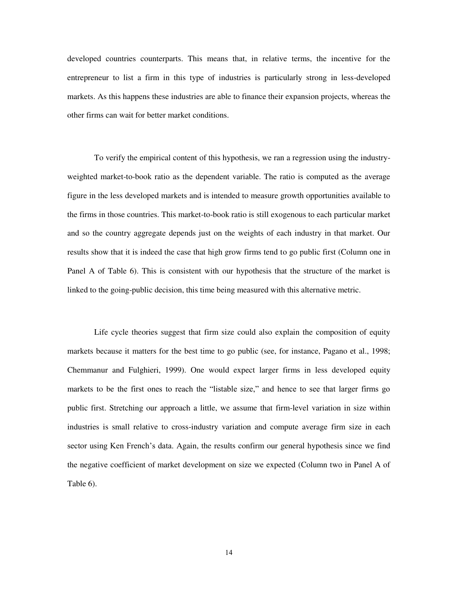developed countries counterparts. This means that, in relative terms, the incentive for the entrepreneur to list a firm in this type of industries is particularly strong in less-developed markets. As this happens these industries are able to finance their expansion projects, whereas the other firms can wait for better market conditions.

To verify the empirical content of this hypothesis, we ran a regression using the industryweighted market-to-book ratio as the dependent variable. The ratio is computed as the average figure in the less developed markets and is intended to measure growth opportunities available to the firms in those countries. This market-to-book ratio is still exogenous to each particular market and so the country aggregate depends just on the weights of each industry in that market. Our results show that it is indeed the case that high grow firms tend to go public first (Column one in Panel A of Table 6). This is consistent with our hypothesis that the structure of the market is linked to the going-public decision, this time being measured with this alternative metric.

Life cycle theories suggest that firm size could also explain the composition of equity markets because it matters for the best time to go public (see, for instance, Pagano et al., 1998; Chemmanur and Fulghieri, 1999). One would expect larger firms in less developed equity markets to be the first ones to reach the "listable size," and hence to see that larger firms go public first. Stretching our approach a little, we assume that firm-level variation in size within industries is small relative to cross-industry variation and compute average firm size in each sector using Ken French's data. Again, the results confirm our general hypothesis since we find the negative coefficient of market development on size we expected (Column two in Panel A of Table 6).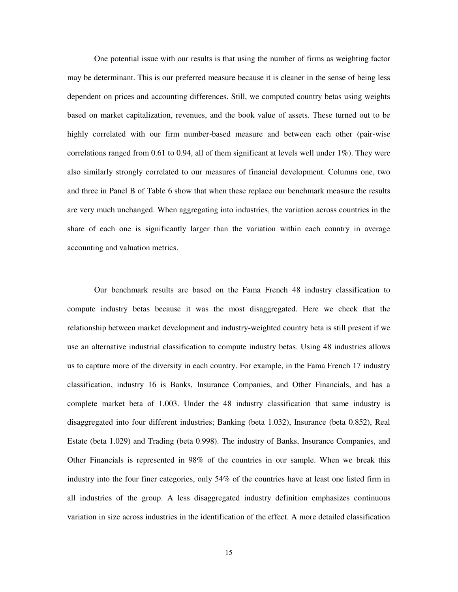One potential issue with our results is that using the number of firms as weighting factor may be determinant. This is our preferred measure because it is cleaner in the sense of being less dependent on prices and accounting differences. Still, we computed country betas using weights based on market capitalization, revenues, and the book value of assets. These turned out to be highly correlated with our firm number-based measure and between each other (pair-wise correlations ranged from 0.61 to 0.94, all of them significant at levels well under  $1\%$ ). They were also similarly strongly correlated to our measures of financial development. Columns one, two and three in Panel B of Table 6 show that when these replace our benchmark measure the results are very much unchanged. When aggregating into industries, the variation across countries in the share of each one is significantly larger than the variation within each country in average accounting and valuation metrics.

Our benchmark results are based on the Fama French 48 industry classification to compute industry betas because it was the most disaggregated. Here we check that the relationship between market development and industry-weighted country beta is still present if we use an alternative industrial classification to compute industry betas. Using 48 industries allows us to capture more of the diversity in each country. For example, in the Fama French 17 industry classification, industry 16 is Banks, Insurance Companies, and Other Financials, and has a complete market beta of 1.003. Under the 48 industry classification that same industry is disaggregated into four different industries; Banking (beta 1.032), Insurance (beta 0.852), Real Estate (beta 1.029) and Trading (beta 0.998). The industry of Banks, Insurance Companies, and Other Financials is represented in 98% of the countries in our sample. When we break this industry into the four finer categories, only 54% of the countries have at least one listed firm in all industries of the group. A less disaggregated industry definition emphasizes continuous variation in size across industries in the identification of the effect. A more detailed classification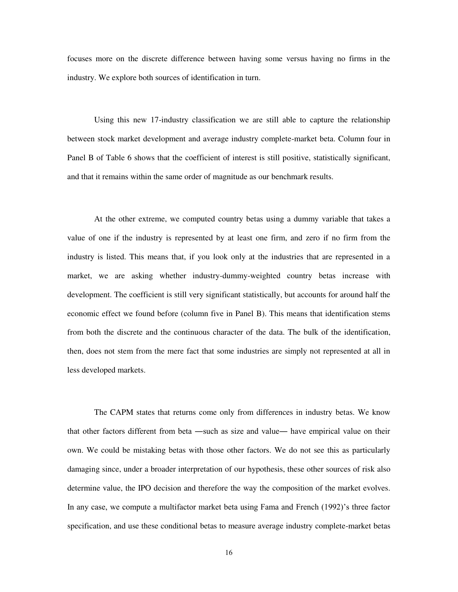focuses more on the discrete difference between having some versus having no firms in the industry. We explore both sources of identification in turn.

Using this new 17-industry classification we are still able to capture the relationship between stock market development and average industry complete-market beta. Column four in Panel B of Table 6 shows that the coefficient of interest is still positive, statistically significant, and that it remains within the same order of magnitude as our benchmark results.

At the other extreme, we computed country betas using a dummy variable that takes a value of one if the industry is represented by at least one firm, and zero if no firm from the industry is listed. This means that, if you look only at the industries that are represented in a market, we are asking whether industry-dummy-weighted country betas increase with development. The coefficient is still very significant statistically, but accounts for around half the economic effect we found before (column five in Panel B). This means that identification stems from both the discrete and the continuous character of the data. The bulk of the identification, then, does not stem from the mere fact that some industries are simply not represented at all in less developed markets.

The CAPM states that returns come only from differences in industry betas. We know that other factors different from beta ―such as size and value― have empirical value on their own. We could be mistaking betas with those other factors. We do not see this as particularly damaging since, under a broader interpretation of our hypothesis, these other sources of risk also determine value, the IPO decision and therefore the way the composition of the market evolves. In any case, we compute a multifactor market beta using Fama and French (1992)'s three factor specification, and use these conditional betas to measure average industry complete-market betas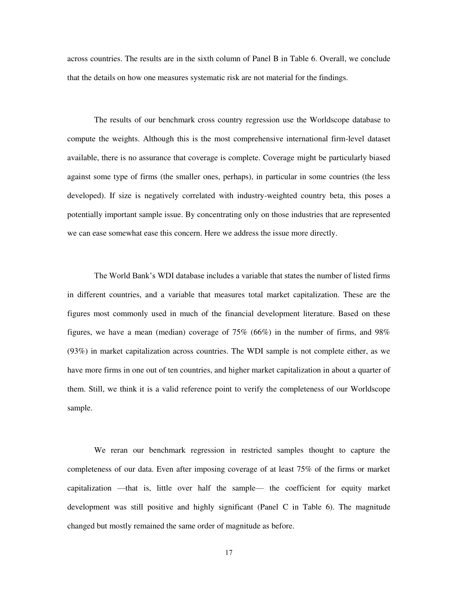across countries. The results are in the sixth column of Panel B in Table 6. Overall, we conclude that the details on how one measures systematic risk are not material for the findings.

The results of our benchmark cross country regression use the Worldscope database to compute the weights. Although this is the most comprehensive international firm-level dataset available, there is no assurance that coverage is complete. Coverage might be particularly biased against some type of firms (the smaller ones, perhaps), in particular in some countries (the less developed). If size is negatively correlated with industry-weighted country beta, this poses a potentially important sample issue. By concentrating only on those industries that are represented we can ease somewhat ease this concern. Here we address the issue more directly.

The World Bank's WDI database includes a variable that states the number of listed firms in different countries, and a variable that measures total market capitalization. These are the figures most commonly used in much of the financial development literature. Based on these figures, we have a mean (median) coverage of 75% (66%) in the number of firms, and 98% (93%) in market capitalization across countries. The WDI sample is not complete either, as we have more firms in one out of ten countries, and higher market capitalization in about a quarter of them. Still, we think it is a valid reference point to verify the completeness of our Worldscope sample.

We reran our benchmark regression in restricted samples thought to capture the completeness of our data. Even after imposing coverage of at least 75% of the firms or market capitalization —that is, little over half the sample— the coefficient for equity market development was still positive and highly significant (Panel C in Table 6). The magnitude changed but mostly remained the same order of magnitude as before.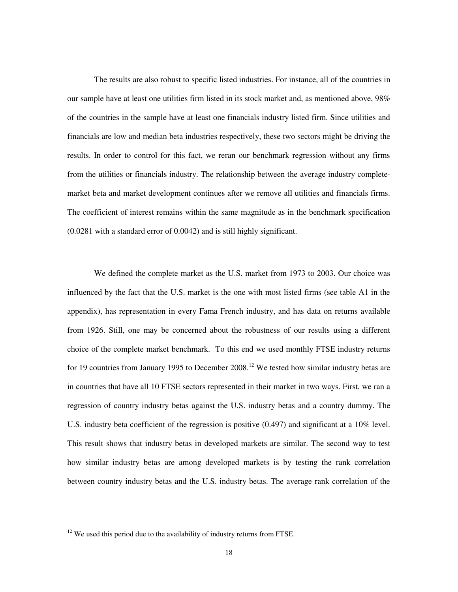The results are also robust to specific listed industries. For instance, all of the countries in our sample have at least one utilities firm listed in its stock market and, as mentioned above, 98% of the countries in the sample have at least one financials industry listed firm. Since utilities and financials are low and median beta industries respectively, these two sectors might be driving the results. In order to control for this fact, we reran our benchmark regression without any firms from the utilities or financials industry. The relationship between the average industry completemarket beta and market development continues after we remove all utilities and financials firms. The coefficient of interest remains within the same magnitude as in the benchmark specification (0.0281 with a standard error of 0.0042) and is still highly significant.

We defined the complete market as the U.S. market from 1973 to 2003. Our choice was influenced by the fact that the U.S. market is the one with most listed firms (see table A1 in the appendix), has representation in every Fama French industry, and has data on returns available from 1926. Still, one may be concerned about the robustness of our results using a different choice of the complete market benchmark. To this end we used monthly FTSE industry returns for 19 countries from January 1995 to December  $2008$ <sup>12</sup> We tested how similar industry betas are in countries that have all 10 FTSE sectors represented in their market in two ways. First, we ran a regression of country industry betas against the U.S. industry betas and a country dummy. The U.S. industry beta coefficient of the regression is positive (0.497) and significant at a 10% level. This result shows that industry betas in developed markets are similar. The second way to test how similar industry betas are among developed markets is by testing the rank correlation between country industry betas and the U.S. industry betas. The average rank correlation of the

 $\overline{a}$ 

 $12$  We used this period due to the availability of industry returns from FTSE.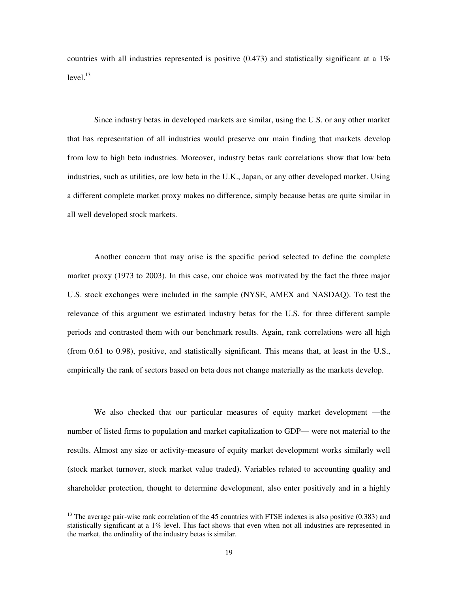countries with all industries represented is positive  $(0.473)$  and statistically significant at a 1%  $level.<sup>13</sup>$ 

Since industry betas in developed markets are similar, using the U.S. or any other market that has representation of all industries would preserve our main finding that markets develop from low to high beta industries. Moreover, industry betas rank correlations show that low beta industries, such as utilities, are low beta in the U.K., Japan, or any other developed market. Using a different complete market proxy makes no difference, simply because betas are quite similar in all well developed stock markets.

Another concern that may arise is the specific period selected to define the complete market proxy (1973 to 2003). In this case, our choice was motivated by the fact the three major U.S. stock exchanges were included in the sample (NYSE, AMEX and NASDAQ). To test the relevance of this argument we estimated industry betas for the U.S. for three different sample periods and contrasted them with our benchmark results. Again, rank correlations were all high (from 0.61 to 0.98), positive, and statistically significant. This means that, at least in the U.S., empirically the rank of sectors based on beta does not change materially as the markets develop.

We also checked that our particular measures of equity market development —the number of listed firms to population and market capitalization to GDP— were not material to the results. Almost any size or activity-measure of equity market development works similarly well (stock market turnover, stock market value traded). Variables related to accounting quality and shareholder protection, thought to determine development, also enter positively and in a highly

 $\overline{a}$ 

 $13$  The average pair-wise rank correlation of the 45 countries with FTSE indexes is also positive (0.383) and statistically significant at a 1% level. This fact shows that even when not all industries are represented in the market, the ordinality of the industry betas is similar.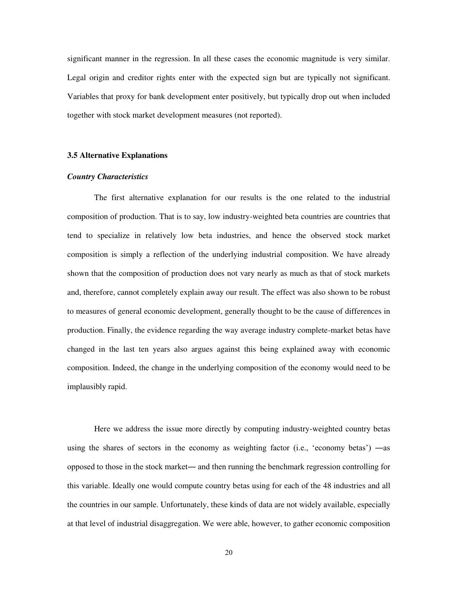significant manner in the regression. In all these cases the economic magnitude is very similar. Legal origin and creditor rights enter with the expected sign but are typically not significant. Variables that proxy for bank development enter positively, but typically drop out when included together with stock market development measures (not reported).

# **3.5 Alternative Explanations**

# *Country Characteristics*

The first alternative explanation for our results is the one related to the industrial composition of production. That is to say, low industry-weighted beta countries are countries that tend to specialize in relatively low beta industries, and hence the observed stock market composition is simply a reflection of the underlying industrial composition. We have already shown that the composition of production does not vary nearly as much as that of stock markets and, therefore, cannot completely explain away our result. The effect was also shown to be robust to measures of general economic development, generally thought to be the cause of differences in production. Finally, the evidence regarding the way average industry complete-market betas have changed in the last ten years also argues against this being explained away with economic composition. Indeed, the change in the underlying composition of the economy would need to be implausibly rapid.

Here we address the issue more directly by computing industry-weighted country betas using the shares of sectors in the economy as weighting factor (i.e., 'economy betas') —as opposed to those in the stock market― and then running the benchmark regression controlling for this variable. Ideally one would compute country betas using for each of the 48 industries and all the countries in our sample. Unfortunately, these kinds of data are not widely available, especially at that level of industrial disaggregation. We were able, however, to gather economic composition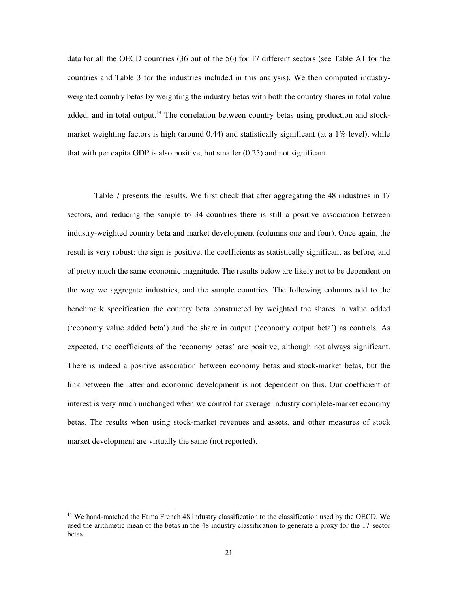data for all the OECD countries (36 out of the 56) for 17 different sectors (see Table A1 for the countries and Table 3 for the industries included in this analysis). We then computed industryweighted country betas by weighting the industry betas with both the country shares in total value added, and in total output.<sup>14</sup> The correlation between country betas using production and stockmarket weighting factors is high (around 0.44) and statistically significant (at a 1% level), while that with per capita GDP is also positive, but smaller (0.25) and not significant.

Table 7 presents the results. We first check that after aggregating the 48 industries in 17 sectors, and reducing the sample to 34 countries there is still a positive association between industry-weighted country beta and market development (columns one and four). Once again, the result is very robust: the sign is positive, the coefficients as statistically significant as before, and of pretty much the same economic magnitude. The results below are likely not to be dependent on the way we aggregate industries, and the sample countries. The following columns add to the benchmark specification the country beta constructed by weighted the shares in value added (‗economy value added beta') and the share in output (‗economy output beta') as controls. As expected, the coefficients of the 'economy betas' are positive, although not always significant. There is indeed a positive association between economy betas and stock-market betas, but the link between the latter and economic development is not dependent on this. Our coefficient of interest is very much unchanged when we control for average industry complete-market economy betas. The results when using stock-market revenues and assets, and other measures of stock market development are virtually the same (not reported).

 $\overline{a}$ 

<sup>&</sup>lt;sup>14</sup> We hand-matched the Fama French 48 industry classification to the classification used by the OECD. We used the arithmetic mean of the betas in the 48 industry classification to generate a proxy for the 17-sector betas.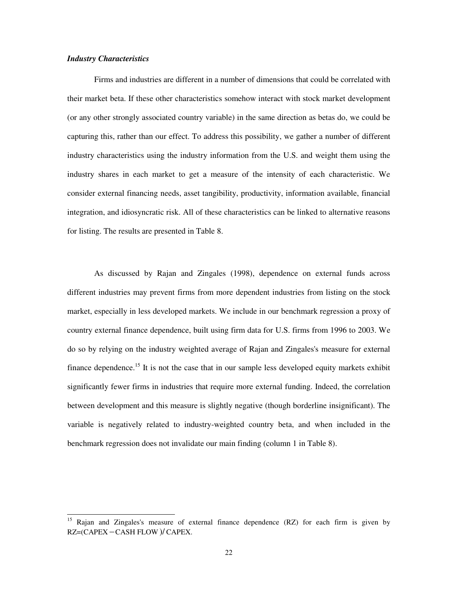# *Industry Characteristics*

 $\overline{a}$ 

Firms and industries are different in a number of dimensions that could be correlated with their market beta. If these other characteristics somehow interact with stock market development (or any other strongly associated country variable) in the same direction as betas do, we could be capturing this, rather than our effect. To address this possibility, we gather a number of different industry characteristics using the industry information from the U.S. and weight them using the industry shares in each market to get a measure of the intensity of each characteristic. We consider external financing needs, asset tangibility, productivity, information available, financial integration, and idiosyncratic risk. All of these characteristics can be linked to alternative reasons for listing. The results are presented in Table 8.

As discussed by Rajan and Zingales (1998), dependence on external funds across different industries may prevent firms from more dependent industries from listing on the stock market, especially in less developed markets. We include in our benchmark regression a proxy of country external finance dependence, built using firm data for U.S. firms from 1996 to 2003. We do so by relying on the industry weighted average of Rajan and Zingales's measure for external finance dependence.<sup>15</sup> It is not the case that in our sample less developed equity markets exhibit significantly fewer firms in industries that require more external funding. Indeed, the correlation between development and this measure is slightly negative (though borderline insignificant). The variable is negatively related to industry-weighted country beta, and when included in the benchmark regression does not invalidate our main finding (column 1 in Table 8).

<sup>&</sup>lt;sup>15</sup> Rajan and Zingales's measure of external finance dependence (RZ) for each firm is given by  $RZ = (CAPEX - CASH FLOW)/ CAPEX.$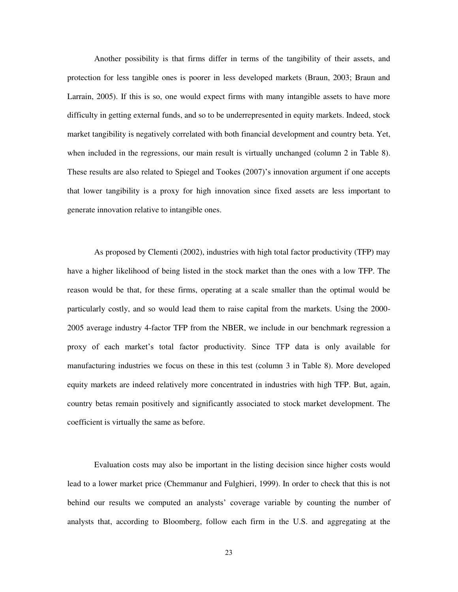Another possibility is that firms differ in terms of the tangibility of their assets, and protection for less tangible ones is poorer in less developed markets (Braun, 2003; Braun and Larrain, 2005). If this is so, one would expect firms with many intangible assets to have more difficulty in getting external funds, and so to be underrepresented in equity markets. Indeed, stock market tangibility is negatively correlated with both financial development and country beta. Yet, when included in the regressions, our main result is virtually unchanged (column 2 in Table 8). These results are also related to Spiegel and Tookes (2007)'s innovation argument if one accepts that lower tangibility is a proxy for high innovation since fixed assets are less important to generate innovation relative to intangible ones.

As proposed by Clementi (2002), industries with high total factor productivity (TFP) may have a higher likelihood of being listed in the stock market than the ones with a low TFP. The reason would be that, for these firms, operating at a scale smaller than the optimal would be particularly costly, and so would lead them to raise capital from the markets. Using the 2000- 2005 average industry 4-factor TFP from the NBER, we include in our benchmark regression a proxy of each market's total factor productivity. Since TFP data is only available for manufacturing industries we focus on these in this test (column 3 in Table 8). More developed equity markets are indeed relatively more concentrated in industries with high TFP. But, again, country betas remain positively and significantly associated to stock market development. The coefficient is virtually the same as before.

Evaluation costs may also be important in the listing decision since higher costs would lead to a lower market price (Chemmanur and Fulghieri, 1999). In order to check that this is not behind our results we computed an analysts' coverage variable by counting the number of analysts that, according to Bloomberg, follow each firm in the U.S. and aggregating at the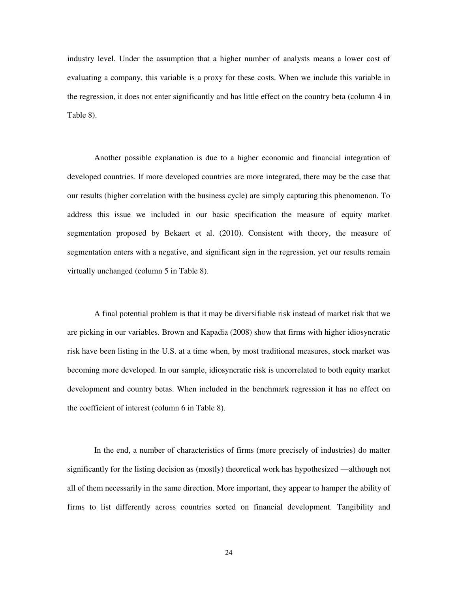industry level. Under the assumption that a higher number of analysts means a lower cost of evaluating a company, this variable is a proxy for these costs. When we include this variable in the regression, it does not enter significantly and has little effect on the country beta (column 4 in Table 8).

Another possible explanation is due to a higher economic and financial integration of developed countries. If more developed countries are more integrated, there may be the case that our results (higher correlation with the business cycle) are simply capturing this phenomenon. To address this issue we included in our basic specification the measure of equity market segmentation proposed by Bekaert et al. (2010). Consistent with theory, the measure of segmentation enters with a negative, and significant sign in the regression, yet our results remain virtually unchanged (column 5 in Table 8).

A final potential problem is that it may be diversifiable risk instead of market risk that we are picking in our variables. Brown and Kapadia (2008) show that firms with higher idiosyncratic risk have been listing in the U.S. at a time when, by most traditional measures, stock market was becoming more developed. In our sample, idiosyncratic risk is uncorrelated to both equity market development and country betas. When included in the benchmark regression it has no effect on the coefficient of interest (column 6 in Table 8).

In the end, a number of characteristics of firms (more precisely of industries) do matter significantly for the listing decision as (mostly) theoretical work has hypothesized —although not all of them necessarily in the same direction. More important, they appear to hamper the ability of firms to list differently across countries sorted on financial development. Tangibility and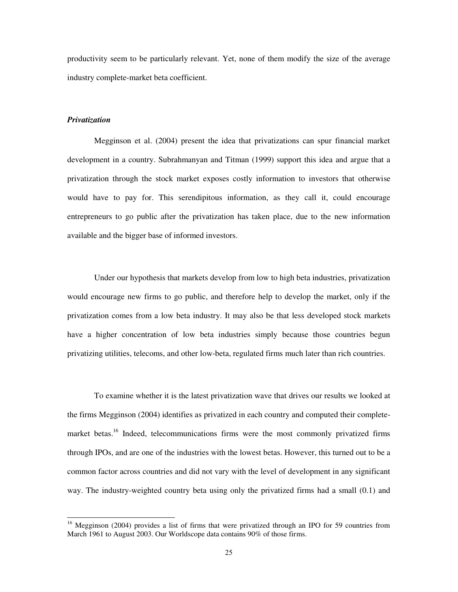productivity seem to be particularly relevant. Yet, none of them modify the size of the average industry complete-market beta coefficient.

# *Privatization*

 $\overline{a}$ 

Megginson et al. (2004) present the idea that privatizations can spur financial market development in a country. Subrahmanyan and Titman (1999) support this idea and argue that a privatization through the stock market exposes costly information to investors that otherwise would have to pay for. This serendipitous information, as they call it, could encourage entrepreneurs to go public after the privatization has taken place, due to the new information available and the bigger base of informed investors.

Under our hypothesis that markets develop from low to high beta industries, privatization would encourage new firms to go public, and therefore help to develop the market, only if the privatization comes from a low beta industry. It may also be that less developed stock markets have a higher concentration of low beta industries simply because those countries begun privatizing utilities, telecoms, and other low-beta, regulated firms much later than rich countries.

To examine whether it is the latest privatization wave that drives our results we looked at the firms Megginson (2004) identifies as privatized in each country and computed their completemarket betas.<sup>16</sup> Indeed, telecommunications firms were the most commonly privatized firms through IPOs, and are one of the industries with the lowest betas. However, this turned out to be a common factor across countries and did not vary with the level of development in any significant way. The industry-weighted country beta using only the privatized firms had a small (0.1) and

<sup>&</sup>lt;sup>16</sup> Megginson (2004) provides a list of firms that were privatized through an IPO for 59 countries from March 1961 to August 2003. Our Worldscope data contains 90% of those firms.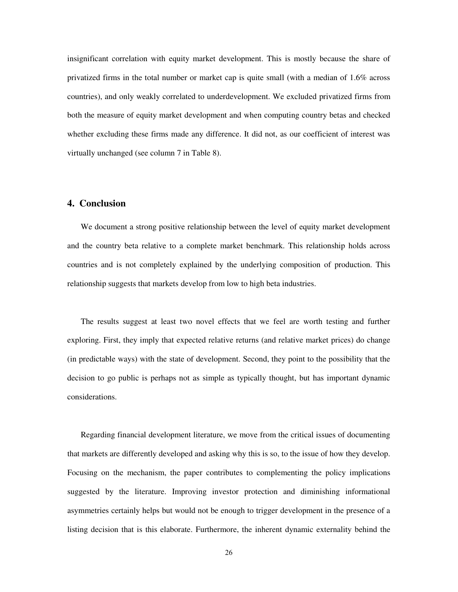insignificant correlation with equity market development. This is mostly because the share of privatized firms in the total number or market cap is quite small (with a median of 1.6% across countries), and only weakly correlated to underdevelopment. We excluded privatized firms from both the measure of equity market development and when computing country betas and checked whether excluding these firms made any difference. It did not, as our coefficient of interest was virtually unchanged (see column 7 in Table 8).

# **4. Conclusion**

We document a strong positive relationship between the level of equity market development and the country beta relative to a complete market benchmark. This relationship holds across countries and is not completely explained by the underlying composition of production. This relationship suggests that markets develop from low to high beta industries.

The results suggest at least two novel effects that we feel are worth testing and further exploring. First, they imply that expected relative returns (and relative market prices) do change (in predictable ways) with the state of development. Second, they point to the possibility that the decision to go public is perhaps not as simple as typically thought, but has important dynamic considerations.

Regarding financial development literature, we move from the critical issues of documenting that markets are differently developed and asking why this is so, to the issue of how they develop. Focusing on the mechanism, the paper contributes to complementing the policy implications suggested by the literature. Improving investor protection and diminishing informational asymmetries certainly helps but would not be enough to trigger development in the presence of a listing decision that is this elaborate. Furthermore, the inherent dynamic externality behind the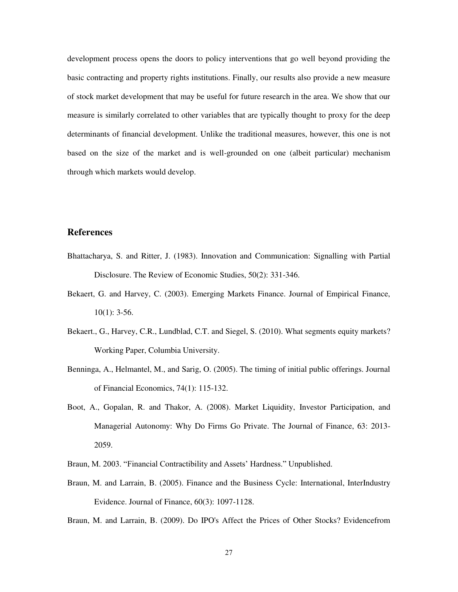development process opens the doors to policy interventions that go well beyond providing the basic contracting and property rights institutions. Finally, our results also provide a new measure of stock market development that may be useful for future research in the area. We show that our measure is similarly correlated to other variables that are typically thought to proxy for the deep determinants of financial development. Unlike the traditional measures, however, this one is not based on the size of the market and is well-grounded on one (albeit particular) mechanism through which markets would develop.

# **References**

- Bhattacharya, S. and Ritter, J. (1983). Innovation and Communication: Signalling with Partial Disclosure. The Review of Economic Studies, 50(2): 331-346.
- Bekaert, G. and Harvey, C. (2003). Emerging Markets Finance. Journal of Empirical Finance,  $10(1)$ : 3-56.
- Bekaert., G., Harvey, C.R., Lundblad, C.T. and Siegel, S. (2010). What segments equity markets? Working Paper, Columbia University.
- Benninga, A., Helmantel, M., and Sarig, O. (2005). The timing of initial public offerings. Journal of Financial Economics, 74(1): 115-132.
- Boot, A., Gopalan, R. and Thakor, A. (2008). Market Liquidity, Investor Participation, and Managerial Autonomy: Why Do Firms Go Private. The Journal of Finance, 63: 2013- 2059.
- Braun, M. 2003. "Financial Contractibility and Assets' Hardness." Unpublished.
- Braun, M. and Larrain, B. (2005). Finance and the Business Cycle: International, InterIndustry Evidence. Journal of Finance, 60(3): 1097-1128.
- Braun, M. and Larrain, B. (2009). Do IPO's Affect the Prices of Other Stocks? Evidencefrom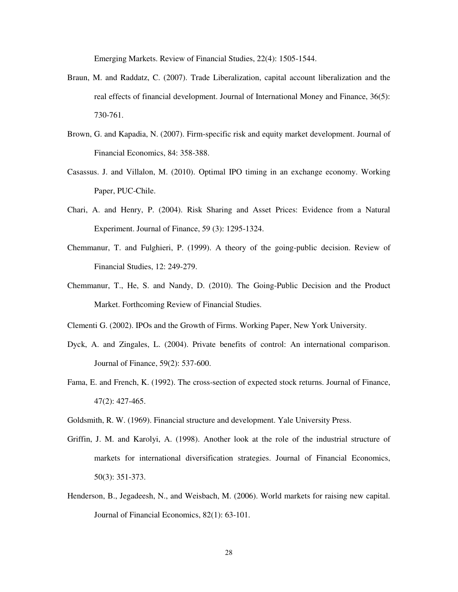Emerging Markets. Review of Financial Studies, 22(4): 1505-1544.

- Braun, M. and Raddatz, C. (2007). Trade Liberalization, capital account liberalization and the real effects of financial development. Journal of International Money and Finance, 36(5): 730-761.
- Brown, G. and Kapadia, N. (2007). Firm-specific risk and equity market development. Journal of Financial Economics, 84: 358-388.
- Casassus. J. and Villalon, M. (2010). Optimal IPO timing in an exchange economy. Working Paper, PUC-Chile.
- Chari, A. and Henry, P. (2004). Risk Sharing and Asset Prices: Evidence from a Natural Experiment. Journal of Finance, 59 (3): 1295-1324.
- Chemmanur, T. and Fulghieri, P. (1999). A theory of the going-public decision. Review of Financial Studies, 12: 249-279.
- Chemmanur, T., He, S. and Nandy, D. (2010). The Going-Public Decision and the Product Market. Forthcoming Review of Financial Studies.
- Clementi G. (2002). IPOs and the Growth of Firms. Working Paper, New York University.
- Dyck, A. and Zingales, L. (2004). Private benefits of control: An international comparison. Journal of Finance, 59(2): 537-600.
- Fama, E. and French, K. (1992). The cross-section of expected stock returns. Journal of Finance, 47(2): 427-465.
- Goldsmith, R. W. (1969). Financial structure and development. Yale University Press.
- Griffin, J. M. and Karolyi, A. (1998). Another look at the role of the industrial structure of markets for international diversification strategies. Journal of Financial Economics, 50(3): 351-373.
- Henderson, B., Jegadeesh, N., and Weisbach, M. (2006). World markets for raising new capital. Journal of Financial Economics, 82(1): 63-101.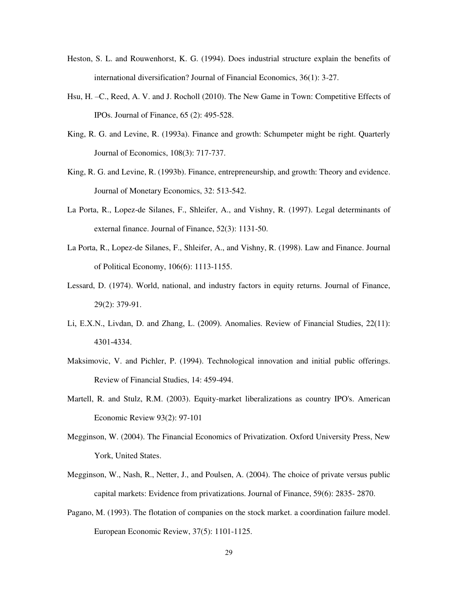- Heston, S. L. and Rouwenhorst, K. G. (1994). Does industrial structure explain the benefits of international diversification? Journal of Financial Economics, 36(1): 3-27.
- Hsu, H. –C., Reed, A. V. and J. Rocholl (2010). The New Game in Town: Competitive Effects of IPOs. Journal of Finance, 65 (2): 495-528.
- King, R. G. and Levine, R. (1993a). Finance and growth: Schumpeter might be right. Quarterly Journal of Economics, 108(3): 717-737.
- King, R. G. and Levine, R. (1993b). Finance, entrepreneurship, and growth: Theory and evidence. Journal of Monetary Economics, 32: 513-542.
- La Porta, R., Lopez-de Silanes, F., Shleifer, A., and Vishny, R. (1997). Legal determinants of external finance. Journal of Finance, 52(3): 1131-50.
- La Porta, R., Lopez-de Silanes, F., Shleifer, A., and Vishny, R. (1998). Law and Finance. Journal of Political Economy, 106(6): 1113-1155.
- Lessard, D. (1974). World, national, and industry factors in equity returns. Journal of Finance, 29(2): 379-91.
- Li, E.X.N., Livdan, D. and Zhang, L. (2009). Anomalies. Review of Financial Studies, 22(11): 4301-4334.
- Maksimovic, V. and Pichler, P. (1994). Technological innovation and initial public offerings. Review of Financial Studies, 14: 459-494.
- Martell, R. and Stulz, R.M. (2003). Equity-market liberalizations as country IPO's. American Economic Review 93(2): 97-101
- Megginson, W. (2004). The Financial Economics of Privatization. Oxford University Press, New York, United States.
- Megginson, W., Nash, R., Netter, J., and Poulsen, A. (2004). The choice of private versus public capital markets: Evidence from privatizations. Journal of Finance, 59(6): 2835- 2870.
- Pagano, M. (1993). The flotation of companies on the stock market. a coordination failure model. European Economic Review, 37(5): 1101-1125.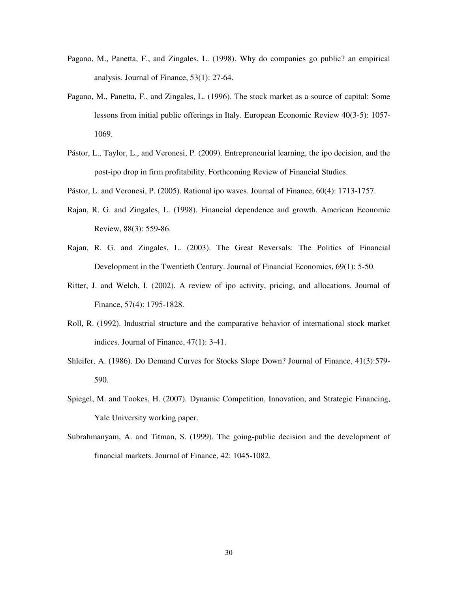- Pagano, M., Panetta, F., and Zingales, L. (1998). Why do companies go public? an empirical analysis. Journal of Finance, 53(1): 27-64.
- Pagano, M., Panetta, F., and Zingales, L. (1996). The stock market as a source of capital: Some lessons from initial public offerings in Italy. European Economic Review 40(3-5): 1057- 1069.
- Pástor, L., Taylor, L., and Veronesi, P. (2009). Entrepreneurial learning, the ipo decision, and the post-ipo drop in firm profitability. Forthcoming Review of Financial Studies.
- Pástor, L. and Veronesi, P. (2005). Rational ipo waves. Journal of Finance, 60(4): 1713-1757.
- Rajan, R. G. and Zingales, L. (1998). Financial dependence and growth. American Economic Review, 88(3): 559-86.
- Rajan, R. G. and Zingales, L. (2003). The Great Reversals: The Politics of Financial Development in the Twentieth Century. Journal of Financial Economics, 69(1): 5-50.
- Ritter, J. and Welch, I. (2002). A review of ipo activity, pricing, and allocations. Journal of Finance, 57(4): 1795-1828.
- Roll, R. (1992). Industrial structure and the comparative behavior of international stock market indices. Journal of Finance, 47(1): 3-41.
- Shleifer, A. (1986). Do Demand Curves for Stocks Slope Down? Journal of Finance, 41(3):579- 590.
- Spiegel, M. and Tookes, H. (2007). Dynamic Competition, Innovation, and Strategic Financing, Yale University working paper.
- Subrahmanyam, A. and Titman, S. (1999). The going-public decision and the development of financial markets. Journal of Finance, 42: 1045-1082.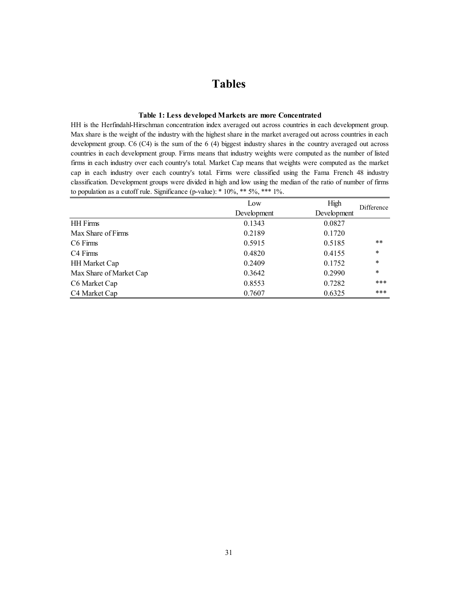# **Tables**

# **Table 1: Less developed Markets are more Concentrated**

HH is the Herfindahl-Hirschman concentration index averaged out across countries in each development group. Max share is the weight of the industry with the highest share in the market averaged out across countries in each development group. C6 (C4) is the sum of the 6 (4) biggest industry shares in the country averaged out across countries in each development group. Firms means that industry weights were computed as the number of listed firms in each industry over each country's total. Market Cap means that weights were computed as the market cap in each industry over each country's total. Firms were classified using the Fama French 48 industry classification. Development groups were divided in high and low using the median of the ratio of number of firms to population as a cutoff rule. Significance (p-value): \* 10%, \*\* 5%, \*\*\* 1%.

|                         | Low         | High        | Difference |
|-------------------------|-------------|-------------|------------|
|                         | Development | Development |            |
| <b>HH</b> Firms         | 0.1343      | 0.0827      |            |
| Max Share of Firms      | 0.2189      | 0.1720      |            |
| C6 Firms                | 0.5915      | 0.5185      | $***$      |
| C <sub>4</sub> Firms    | 0.4820      | 0.4155      | $\ast$     |
| <b>HH Market Cap</b>    | 0.2409      | 0.1752      | $\ast$     |
| Max Share of Market Cap | 0.3642      | 0.2990      | $\ast$     |
| C6 Market Cap           | 0.8553      | 0.7282      | ***        |
| C4 Market Cap           | 0.7607      | 0.6325      | ***        |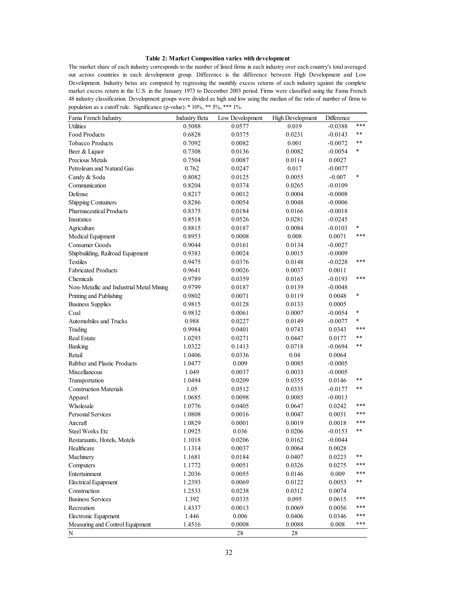### **Table 2: Market Composition varies with development**

The market share of each industry corresponds to the number of listed firms in each industry over each country's total averaged out across countries in each development group. Difference is the difference between High Development and Low Development. Industry betas are computed by regressing the monthly excess returns of each industry against the complete market excess return in the U.S. in the January 1973 to December 2003 period. Firms were classified using the Fama French 48 industry classification. Development groups were divided as high and low using the median of the ratio of number of firms to population as a cutoff rule. Significance (p-value): \* 10%, \*\* 5%, \*\*\* 1%.

| Fama French Industry                     | <b>Industry Beta</b> | Low Development | <b>High Development</b> | Difference |            |
|------------------------------------------|----------------------|-----------------|-------------------------|------------|------------|
| <b>Utilities</b>                         | 0.5088               | 0.0577          | 0.019                   | $-0.0388$  | ***        |
| Food Products                            | 0.6828               | 0.0375          | 0.0231                  | $-0.0143$  | $***$      |
| <b>Tobacco Products</b>                  | 0.7092               | 0.0082          | 0.001                   | $-0.0072$  | $***$      |
| Beer & Liquor                            | 0.7308               | 0.0136          | 0.0082                  | $-0.0054$  | *          |
| Precious Metals                          | 0.7504               | 0.0087          | 0.0114                  | 0.0027     |            |
| Petroleum and Natural Gas                | 0.762                | 0.0247          | 0.017                   | $-0.0077$  |            |
| Candy & Soda                             | 0.8082               | 0.0125          | 0.0055                  | $-0.007$   | $\ast$     |
| Communication                            | 0.8204               | 0.0374          | 0.0265                  | $-0.0109$  |            |
| Defense                                  | 0.8217               | 0.0012          | 0.0004                  | $-0.0008$  |            |
| Shipping Containers                      | 0.8286               | 0.0054          | 0.0048                  | $-0.0006$  |            |
| <b>Pharmaceutical Products</b>           | 0.8375               | 0.0184          | 0.0166                  | $-0.0018$  |            |
| Insurance                                | 0.8518               | 0.0526          | 0.0281                  | $-0.0245$  |            |
| Agriculture                              | 0.8815               | 0.0187          | 0.0084                  | $-0.0103$  | *          |
| Medical Equipment                        | 0.8953               | 0.0008          | 0.008                   | 0.0071     | ***        |
| Consumer Goods                           | 0.9044               | 0.0161          | 0.0134                  | $-0.0027$  |            |
| Shipbuilding, Railroad Equipment         | 0.9383               | 0.0024          | 0.0015                  | $-0.0009$  |            |
| <b>Textiles</b>                          | 0.9475               | 0.0376          | 0.0148                  | $-0.0228$  | ***        |
| <b>Fabricated Products</b>               | 0.9641               | 0.0026          | 0.0037                  | $0.0011\,$ |            |
| Chemicals                                | 0.9789               | 0.0359          | 0.0165                  | $-0.0193$  | ***        |
| Non-Metallic and Industrial Metal Mining | 0.9799               | 0.0187          | 0.0139                  | $-0.0048$  |            |
| Printing and Publishing                  | 0.9802               | 0.0071          | 0.0119                  | 0.0048     | *          |
| <b>Business Supplies</b>                 | 0.9815               | 0.0128          | 0.0133                  | 0.0005     |            |
| Coal                                     | 0.9832               | 0.0061          | 0.0007                  | $-0.0054$  | $\ast$     |
| Automobiles and Trucks                   | 0.988                | 0.0227          | 0.0149                  | $-0.0077$  | *          |
| Trading                                  | 0.9984               | 0.0401          | 0.0743                  | 0.0343     | ***        |
| <b>Real Estate</b>                       | 1.0293               | 0.0271          | 0.0447                  | 0.0177     | **         |
| Banking                                  | 1.0322               | 0.1413          | 0.0718                  | -0.0694    | $***$      |
| Retail                                   | 1.0406               | 0.0336          | 0.04                    | 0.0064     |            |
| Rubber and Plastic Products              | 1.0477               | 0.009           | 0.0085                  | $-0.0005$  |            |
| Miscellaneous                            | 1.049                | 0.0037          | 0.0033                  | $-0.0005$  |            |
| Transportation                           | 1.0494               | 0.0209          | 0.0355                  | 0.0146     | $***$      |
| <b>Construction Materials</b>            | 1.05                 | 0.0512          | 0.0335                  | $-0.0177$  | **         |
| Apparel                                  | 1.0685               | 0.0098          | 0.0085                  | $-0.0013$  |            |
| Wholesale                                | 1.0776               | 0.0405          | 0.0647                  | 0.0242     | ***        |
| Personal Services                        | 1.0808               | 0.0016          | 0.0047                  | 0.0031     | ***        |
| Aircraft                                 | 1.0829               | 0.0001          | 0.0019                  | 0.0018     | ***        |
| <b>Steel Works Etc</b>                   | 1.0925               | 0.036           | 0.0206                  | $-0.0153$  | $***$      |
| Restaraunts, Hotels, Motels              | 1.1018               | 0.0206          | 0.0162                  | $-0.0044$  |            |
| Healthcare                               | 1.1314               | 0.0037          | 0.0064                  | 0.0028     |            |
| Machinery                                | 1.1681               | 0.0184          | 0.0407                  | 0.0223     | $\ast\ast$ |
| Computers                                | 1.1772               | 0.0051          | 0.0326                  | 0.0275     | ***        |
| Entertainment                            | 1.2036               | 0.0055          | 0.0146                  | 0.009      | ***        |
| <b>Electrical Equipment</b>              | 1.2393               | 0.0069          | 0.0122                  | 0.0053     | $\ast\ast$ |
| Construction                             | 1.2533               | 0.0238          | 0.0312                  | 0.0074     |            |
| <b>Business Services</b>                 | 1.392                | 0.0335          | 0.095                   | 0.0615     | ***        |
| Recreation                               | 1.4337               | 0.0013          | 0.0069                  | 0.0056     | ***        |
| Electronic Equipment                     | 1.446                | 0.006           | 0.0406                  | 0.0346     | ***        |
| Measuring and Control Equipment          | 1.4516               | 0.0008          | 0.0088                  | 0.008      | ***        |
| ${\bf N}$                                |                      | 28              | 28                      |            |            |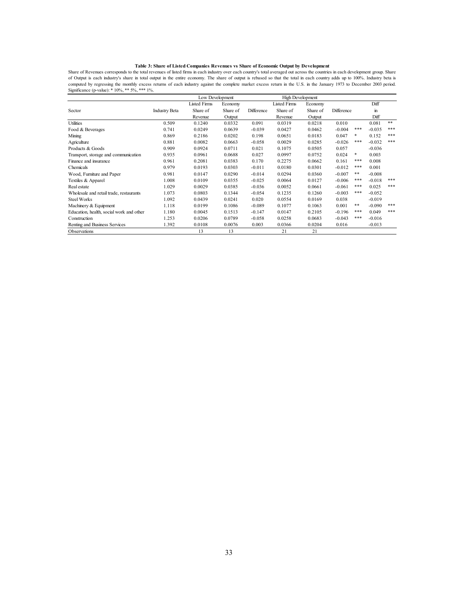Table 3: Share of Listed Companies Revenues vs Share of Economic Output by Development<br>Share of Revenues corresponds to the total revenues of listed firms in each industry over each country's total averaged out across the of Output is each industry's share in total output in the entire economy. The share of output is rebased so that the total in each country adds up to 100%. Industry beta is computed by regressing the monthly excess returns of each industry against the complete market excess return in the U.S. in the January 1973 to December 2003 period. Significance (p-value): \* 10%, \*\* 5%, \*\*\* 1%.

|                                          |                      | Low Development     |          |            | High Development    |          |            |     |          |     |
|------------------------------------------|----------------------|---------------------|----------|------------|---------------------|----------|------------|-----|----------|-----|
|                                          |                      | <b>Listed Firms</b> | Economy  |            | <b>Listed Firms</b> | Economy  |            |     | Diff     |     |
| Sector                                   | <b>Industry Beta</b> | Share of            | Share of | Difference | Share of            | Share of | Difference |     | in.      |     |
|                                          |                      | Revenue             | Output   |            | Revenue             | Output   |            |     | Diff     |     |
| Utilities                                | 0.509                | 0.1240              | 0.0332   | 0.091      | 0.0319              | 0.0218   | 0.010      |     | 0.081    | **  |
| Food & Beverages                         | 0.741                | 0.0249              | 0.0639   | $-0.039$   | 0.0427              | 0.0462   | $-0.004$   | *** | $-0.035$ | *** |
| Mining                                   | 0.869                | 0.2186              | 0.0202   | 0.198      | 0.0651              | 0.0183   | 0.047      | *   | 0.152    | *** |
| Agriculture                              | 0.881                | 0.0082              | 0.0663   | $-0.058$   | 0.0029              | 0.0285   | $-0.026$   | *** | $-0.032$ | *** |
| Products & Goods                         | 0.909                | 0.0924              | 0.0711   | 0.021      | 0.1075              | 0.0505   | 0.057      |     | $-0.036$ |     |
| Transport, storage and communication     | 0.935                | 0.0961              | 0.0688   | 0.027      | 0.0997              | 0.0752   | 0.024      | *   | 0.003    |     |
| Finance and insurance                    | 0.961                | 0.2081              | 0.0383   | 0.170      | 0.2275              | 0.0662   | 0.161      | *** | 0.008    |     |
| Chemicals                                | 0.979                | 0.0193              | 0.0303   | $-0.011$   | 0.0180              | 0.0301   | $-0.012$   | *** | 0.001    |     |
| Wood, Furniture and Paper                | 0.981                | 0.0147              | 0.0290   | $-0.014$   | 0.0294              | 0.0360   | $-0.007$   | **  | $-0.008$ |     |
| Textiles & Apparel                       | 1.008                | 0.0109              | 0.0355   | $-0.025$   | 0.0064              | 0.0127   | $-0.006$   | *** | $-0.018$ | *** |
| Real estate                              | 1.029                | 0.0029              | 0.0385   | $-0.036$   | 0.0052              | 0.0661   | $-0.061$   | *** | 0.025    | *** |
| Wholesale and retail trade, restaurants  | 1.073                | 0.0803              | 0.1344   | $-0.054$   | 0.1235              | 0.1260   | $-0.003$   | *** | $-0.052$ |     |
| <b>Steel Works</b>                       | 1.092                | 0.0439              | 0.0241   | 0.020      | 0.0554              | 0.0169   | 0.038      |     | $-0.019$ |     |
| Machinery & Equipment                    | 1.118                | 0.0199              | 0.1086   | $-0.089$   | 0.1077              | 0.1063   | 0.001      | **  | $-0.090$ | *** |
| Education, health, social work and other | 1.180                | 0.0045              | 0.1513   | $-0.147$   | 0.0147              | 0.2105   | $-0.196$   | *** | 0.049    | *** |
| Construction                             | 1.253                | 0.0206              | 0.0789   | $-0.058$   | 0.0258              | 0.0683   | $-0.043$   | *** | $-0.016$ |     |
| Renting and Business Services            | 1.392                | 0.0108              | 0.0076   | 0.003      | 0.0366              | 0.0204   | 0.016      |     | $-0.013$ |     |
| <b>Observations</b>                      |                      | 13                  | 13       |            | 21                  | 21       |            |     |          |     |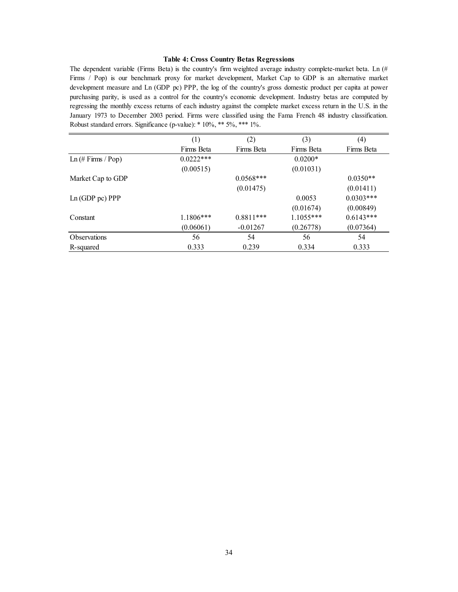# **Table 4: Cross Country Betas Regressions**

The dependent variable (Firms Beta) is the country's firm weighted average industry complete-market beta. Ln (# Firms / Pop) is our benchmark proxy for market development, Market Cap to GDP is an alternative market development measure and Ln (GDP pc) PPP, the log of the country's gross domestic product per capita at power purchasing parity, is used as a control for the country's economic development. Industry betas are computed by regressing the monthly excess returns of each industry against the complete market excess return in the U.S. in the January 1973 to December 2003 period. Firms were classified using the Fama French 48 industry classification. Robust standard errors. Significance (p-value): \* 10%, \*\* 5%, \*\*\* 1%.

|                      | (1)         | (2)         | (3)         | (4)         |
|----------------------|-------------|-------------|-------------|-------------|
|                      | Firms Beta  | Firms Beta  | Firms Beta  | Firms Beta  |
| $Ln$ (# Firms / Pop) | $0.0222***$ |             | $0.0200*$   |             |
|                      | (0.00515)   |             | (0.01031)   |             |
| Market Cap to GDP    |             | $0.0568***$ |             | $0.0350**$  |
|                      |             | (0.01475)   |             | (0.01411)   |
| Ln(GDP pc) PPP       |             |             | 0.0053      | $0.0303***$ |
|                      |             |             | (0.01674)   | (0.00849)   |
| Constant             | $1.1806***$ | $0.8811***$ | $1.1055***$ | $0.6143***$ |
|                      | (0.06061)   | $-0.01267$  | (0.26778)   | (0.07364)   |
| <b>Observations</b>  | 56          | 54          | 56          | 54          |
| R-squared            | 0.333       | 0.239       | 0.334       | 0.333       |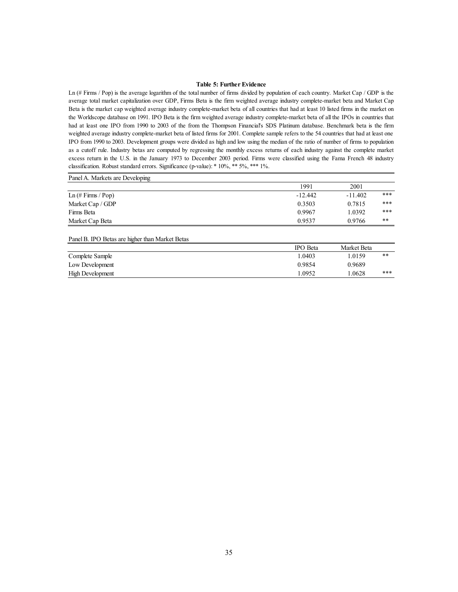## **Table 5: Further Evidence**

Ln (# Firms / Pop) is the average logarithm of the total number of firms divided by population of each country. Market Cap / GDP is the average total market capitalization over GDP, Firms Beta is the firm weighted average industry complete-market beta and Market Cap Beta is the market cap weighted average industry complete-market beta of all countries that had at least 10 listed firms in the market on the Worldscope database on 1991. IPO Beta is the firm weighted average industry complete-market beta of all the IPOs in countries that had at least one IPO from 1990 to 2003 of the from the Thompson Financial's SDS Platinum database. Benchmark beta is the firm weighted average industry complete-market beta of listed firms for 2001. Complete sample refers to the 54 countries that had at least one IPO from 1990 to 2003. Development groups were divided as high and low using the median of the ratio of number of firms to population as a cutoff rule. Industry betas are computed by regressing the monthly excess returns of each industry against the complete market excess return in the U.S. in the January 1973 to December 2003 period. Firms were classified using the Fama French 48 industry classification. Robust standard errors. Significance (p-value): \* 10%, \*\* 5%, \*\*\* 1%.

| Panel A. Markets are Developing                 |                 |             |       |
|-------------------------------------------------|-----------------|-------------|-------|
|                                                 | 1991            | 2001        |       |
| $Ln$ (# Firms / Pop)                            | $-12.442$       | $-11.402$   | ***   |
| Market Cap / GDP                                | 0.3503          | 0.7815      | ***   |
| Firms Beta                                      | 0.9967          | 1.0392      | ***   |
| Market Cap Beta                                 | 0.9537          | 0.9766      | $***$ |
| Panel B. IPO Betas are higher than Market Betas |                 |             |       |
|                                                 | <b>IPO</b> Beta | Market Beta |       |
| $C = 1 + 1 + C = 1$                             | 1.0102          | 1.0150      | 出业    |

| Complete Sample         | .0403  | .0159  | **  |
|-------------------------|--------|--------|-----|
| Low Development         | 0.9854 | 0.9689 |     |
| <b>High Development</b> | .0952  | .0628  | *** |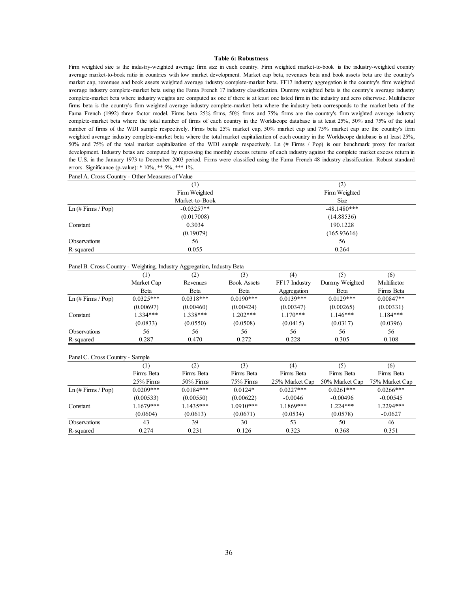#### **Table 6: Robustness**

Firm weighted size is the industry-weighted average firm size in each country. Firm weighted market-to-book is the industry-weighted country average market-to-book ratio in countries with low market development. Market cap beta, revenues beta and book assets beta are the country's market cap, revenues and book assets weighted average industry complete-market beta. FF17 industry aggregation is the country's firm weighted average industry complete-market beta using the Fama French 17 industry classification. Dummy weighted beta is the country's average industry complete-market beta where industry weights are computed as one if there is at least one listed firm in the industry and zero otherwise. Multifactor firms beta is the country's firm weighted average industry complete-market beta where the industry beta corresponds to the market beta of the Fama French (1992) three factor model. Firms beta 25% firms, 50% firms and 75% firms are the country's firm weighted average industry complete-market beta where the total number of firms of each country in the Worldscope database is at least 25%, 50% and 75% of the total number of firms of the WDI sample respectively. Firms beta 25% market cap, 50% market cap and 75% market cap are the country's firm weighted average industry complete-market beta where the total market capitalization of each country in the Worldscope database is at least 25%, 50% and 75% of the total market capitalization of the WDI sample respectively. Ln (# Firms / Pop) is our benchmark proxy for market development. Industry betas are computed by regressing the monthly excess returns of each industry against the complete market excess return in the U.S. in the January 1973 to December 2003 period. Firms were classified using the Fama French 48 industry classification. Robust standard errors. Significance (p-value):  $* 10\%, ** 5\%, *** 1\%$ .

| Panel A. Cross Country - Other Measures of Value |                |               |
|--------------------------------------------------|----------------|---------------|
|                                                  | $^{(1)}$       | (2)           |
| Firm Weighted                                    |                | Firm Weighted |
|                                                  | Market-to-Book | Size          |
| $Ln$ (# Firms / Pop)                             | $-0.03257**$   | $-48.1480***$ |
|                                                  | (0.017008)     | (14.88536)    |
| Constant                                         | 0.3034         | 190.1228      |
|                                                  | (0.19079)      | (165.93616)   |
| Observations                                     | 56             | 56            |
| R-squared                                        | 0.055          | 0.264         |

|                      | (1)         | (2)         | (3)                | (4)           | (5)            | (6)         |
|----------------------|-------------|-------------|--------------------|---------------|----------------|-------------|
|                      | Market Cap  | Revenues    | <b>Book Assets</b> | FF17 Industry | Dummy Weighted | Multifactor |
|                      | Beta        | Beta        | Beta               | Aggregation   | Beta           | Firms Beta  |
| $Ln$ (# Firms / Pop) | $0.0325***$ | $0.0318***$ | $0.0190***$        | $0.0139***$   | $0.0129***$    | $0.00847**$ |
|                      | (0.00697)   | (0.00460)   | (0.00424)          | (0.00347)     | (0.00265)      | (0.00331)   |
| Constant             | $1.334***$  | $1.338***$  | $1.202***$         | $1.170***$    | $1.146***$     | $1.184***$  |
|                      | (0.0833)    | (0.0550)    | (0.0508)           | (0.0415)      | (0.0317)       | (0.0396)    |
| <b>Observations</b>  | 56          | 56          | 56                 | 56            | 56             | 56          |
| R-squared            | 0.287       | 0.470       | 0.272              | 0.228         | 0.305          | 0.108       |

|  | Panel C. Cross Country - Sample |  |
|--|---------------------------------|--|
|  |                                 |  |

|                      |             | (2)          | (3)         | (4)            | (5)            | (6)            |
|----------------------|-------------|--------------|-------------|----------------|----------------|----------------|
|                      | Firms Beta  | Firms Beta   | Firms Beta  | Firms Beta     | Firms Beta     | Firms Beta     |
|                      | $25%$ Firms | $50\%$ Firms | $75%$ Firms | 25% Market Cap | 50% Market Cap | 75% Market Cap |
| $Ln$ (# Firms / Pop) | $0.0209***$ | $0.0184***$  | $0.0124*$   | $0.0227***$    | $0.0261***$    | $0.0266***$    |
|                      | (0.00533)   | (0.00550)    | (0.00622)   | $-0.0046$      | $-0.00496$     | $-0.00545$     |
| Constant             | $1.1679***$ | 1.1435***    | $1.0910***$ | 1.1869***      | $1.224***$     | 1.2294***      |
|                      | (0.0604)    | (0.0613)     | (0.0671)    | (0.0534)       | (0.0578)       | $-0.0627$      |
| <b>Observations</b>  | 43          | 39           | 30          | 53             | 50             | 46             |
| R-squared            | 0.274       | 0.231        | 0.126       | 0.323          | 0.368          | 0.351          |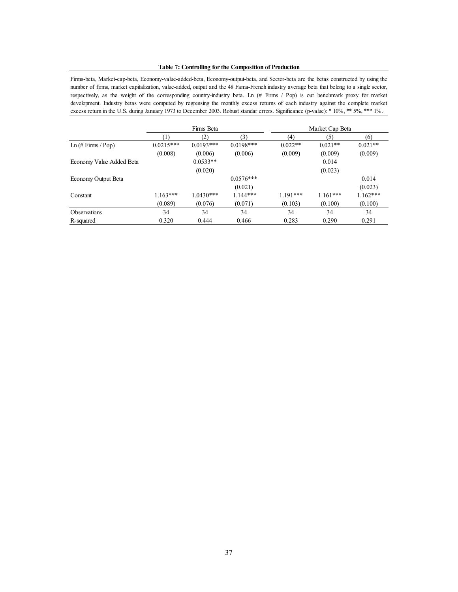#### **Table 7: Controlling for the Composition of Production**

Firms-beta, Market-cap-beta, Economy-value-added-beta, Economy-output-beta, and Sector-beta are the betas constructed by using the number of firms, market capitalization, value-added, output and the 48 Fama-French industry average beta that belong to a single sector, respectively, as the weight of the corresponding country-industry beta. Ln (# Firms / Pop) is our benchmark proxy for market development. Industry betas were computed by regressing the monthly excess returns of each industry against the complete market excess return in the U.S. during January 1973 to December 2003. Robust standar errors. Significance (p-value): \* 10%, \*\* 5%, \*\*\* 1%.

|                                     | Firms Beta  |             |             |            | Market Cap Beta |            |
|-------------------------------------|-------------|-------------|-------------|------------|-----------------|------------|
|                                     | (1)         | (2)         | (3)         | (4)        | (5)             | (6)        |
| Ln $(\# \text{Firms} / \text{Pop})$ | $0.0215***$ | $0.0193***$ | $0.0198***$ | $0.022**$  | $0.021**$       | $0.021**$  |
|                                     | (0.008)     | (0.006)     | (0.006)     | (0.009)    | (0.009)         | (0.009)    |
| Economy Value Added Beta            |             | $0.0533**$  |             |            | 0.014           |            |
|                                     |             | (0.020)     |             |            | (0.023)         |            |
| Economy Output Beta                 |             |             | $0.0576***$ |            |                 | 0.014      |
|                                     |             |             | (0.021)     |            |                 | (0.023)    |
| Constant                            | $1.163***$  | $1.0430***$ | $1.144***$  | $1.191***$ | $1.161***$      | $1.162***$ |
|                                     | (0.089)     | (0.076)     | (0.071)     | (0.103)    | (0.100)         | (0.100)    |
| Observations                        | 34          | 34          | 34          | 34         | 34              | 34         |
| R-squared                           | 0.320       | 0.444       | 0.466       | 0.283      | 0.290           | 0.291      |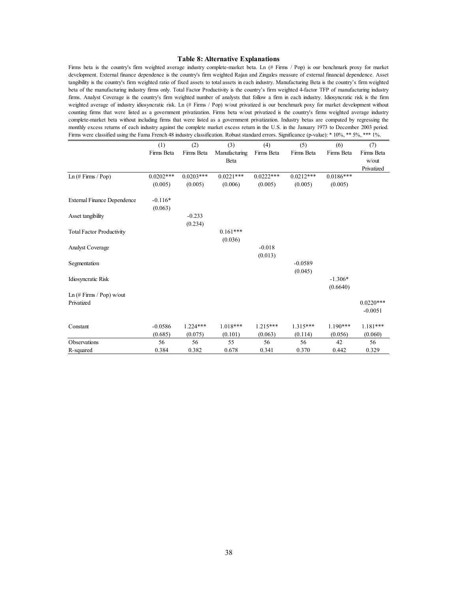#### **Table 8: Alternative Explanations**

Firms beta is the country's firm weighted average industry complete-market beta. Ln (# Firms / Pop) is our benchmark proxy for market development. External finance dependence is the country's firm weighted Rajan and Zingales measure of external financial dependence. Asset tangibility is the country's firm weighted ratio of fixed assets to total assets in each industry. Manufacturing Beta is the country's firm weighted beta of the manufacturing industry firms only. Total Factor Productivity is the country's firm weighted 4-factor TFP of manufacturing industry firms. Analyst Coverage is the country's firm weighted number of analysts that follow a firm in each industry. Idiosyncratic risk is the firm weighted average of industry idiosyncratic risk. Ln (# Firms / Pop) w/out privatized is our benchmark poxy for market development without counting firms that were listed as a government privatization. Firms beta w/out privatized is the country's firms weighted average industry complete-market beta without including firms that were listed as a government privatization. Industry betas are computed by regressing the monthly excess returns of each industry against the complete market excess return in the U.S. in the January 1973 to December 2003 period. Firms were classified using the Fama French 48 industry classification. Robust standard errors. Significance (p-value): \* 10%, \*\* 5%, \*\*\* 1%.

|                                    | (1)         | (2)         | (3)           | (4)         | (5)         | (6)         | (7)         |
|------------------------------------|-------------|-------------|---------------|-------------|-------------|-------------|-------------|
|                                    | Firms Beta  | Firms Beta  | Manufacturing | Firms Beta  | Firms Beta  | Firms Beta  | Firms Beta  |
|                                    |             |             | Beta          |             |             |             | $w/$ out    |
|                                    |             |             |               |             |             |             | Privatized  |
| Ln (# Firms / Pop)                 | $0.0202***$ | $0.0203***$ | $0.0221***$   | $0.0222***$ | $0.0212***$ | $0.0186***$ |             |
|                                    | (0.005)     | (0.005)     | (0.006)       | (0.005)     | (0.005)     | (0.005)     |             |
| <b>External Finance Dependence</b> | $-0.116*$   |             |               |             |             |             |             |
|                                    | (0.063)     |             |               |             |             |             |             |
| Asset tangibility                  |             | $-0.233$    |               |             |             |             |             |
|                                    |             | (0.234)     |               |             |             |             |             |
| <b>Total Factor Productivity</b>   |             |             | $0.161***$    |             |             |             |             |
|                                    |             |             | (0.036)       |             |             |             |             |
| Analyst Coverage                   |             |             |               | $-0.018$    |             |             |             |
|                                    |             |             |               | (0.013)     |             |             |             |
| Segmentation                       |             |             |               |             | $-0.0589$   |             |             |
|                                    |             |             |               |             | (0.045)     |             |             |
| Idiosyncratic Risk                 |             |             |               |             |             | $-1.306*$   |             |
|                                    |             |             |               |             |             | (0.6640)    |             |
| $Ln$ (# Firms / Pop) w/out         |             |             |               |             |             |             |             |
| Privatized                         |             |             |               |             |             |             | $0.0220***$ |
|                                    |             |             |               |             |             |             | $-0.0051$   |
| Constant                           | $-0.0586$   | $1.224***$  | $1.018***$    | $1.215***$  | $1.315***$  | $1.190***$  | $1.181***$  |
|                                    | (0.685)     | (0.075)     | (0.101)       | (0.063)     | (0.114)     | (0.056)     | (0.060)     |
| Observations                       | 56          | 56          | 55            | 56          | 56          | 42          | 56          |
| R-squared                          | 0.384       | 0.382       | 0.678         | 0.341       | 0.370       | 0.442       | 0.329       |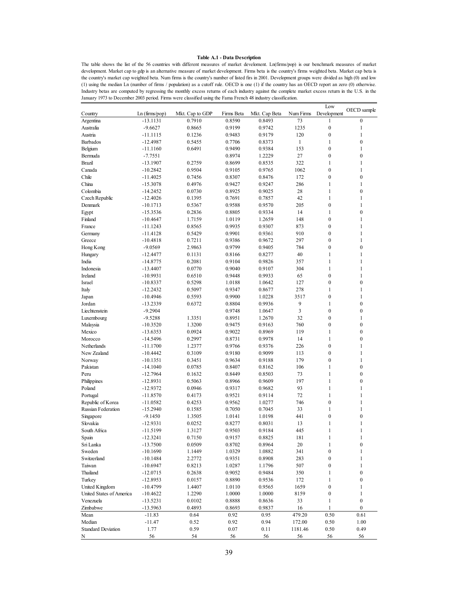#### **Table A.1 - Data Description**

The table shows the list of the 56 countries with different measures of market develoment. Ln(firms/pop) is our benchmark measures of market development. Market cap to gdp is an alternative measure of market development. Firms beta is the country's firms weighted beta. Market cap beta is the country's market cap weighted beta. Num firms is the country's number of listed firs in 2001. Development groups were divided as high (0) and low (1) using the median Ln (number of firms / population) as a cutoff rule. OECD is one (1) if the country has an OECD report an zero (0) otherwise. Industry betas are computed by regressing the monthly excess returns of each industry against the complete market excess return in the U.S. in the January 1973 to December 2003 period. Firms were classified using the Fama French 48 industry classification.

|                           |               |                  |            |               |              | Low              |                  |
|---------------------------|---------------|------------------|------------|---------------|--------------|------------------|------------------|
| Country                   | Ln(firms/pop) | Mkt. Cap to GDP  | Firms Beta | Mkt. Cap Beta | Num Firms    | Development      | OECD sample      |
| Argentina                 | -13.1131      | 0.7910           | 0.8590     | 0.8493        | 73           | 1                | $\mathbf{0}$     |
| Australia                 | $-9.6627$     | 0.8665           | 0.9199     | 0.9742        | 1235         | $\boldsymbol{0}$ | $\mathbf{1}$     |
| Austria                   | $-11.1115$    | 0.1236           | 0.9483     | 0.9179        | 120          | $\boldsymbol{0}$ | $\mathbf{1}$     |
| <b>Barbados</b>           | $-12.4987$    | 0.5455           | 0.7706     | 0.8373        | $\mathbf{1}$ | $\mathbf{1}$     | $\mathbf{0}$     |
| Belgium                   | $-11.1160$    | 0.6491           | 0.9490     | 0.9384        | 153          | $\overline{0}$   | $\mathbf{1}$     |
| Bermuda                   | $-7.7551$     |                  | 0.8974     | 1.2229        | 27           | $\boldsymbol{0}$ | $\boldsymbol{0}$ |
| <b>Brazil</b>             | $-13.1907$    | 0.2759           | 0.8699     | 0.8535        | 322          | $\mathbf{1}$     | 1                |
| Canada                    | $-10.2842$    | 0.9504           | 0.9105     | 0.9765        | 1062         | $\boldsymbol{0}$ | $\mathbf{1}$     |
| Chile                     | $-11.4025$    | 0.7456           | 0.8307     | 0.8476        | 172          | $\boldsymbol{0}$ | $\boldsymbol{0}$ |
| China                     | $-15.3078$    | 0.4976           | 0.9427     | 0.9247        | 286          | $\mathbf{1}$     | $\mathbf{1}$     |
| Colombia                  | $-14.2452$    | 0.0730           | 0.8925     | 0.9025        | 28           | $\mathbf{1}$     | $\boldsymbol{0}$ |
| Czech Republic            | $-12.4026$    | 0.1395           | 0.7691     | 0.7857        | 42           | $\mathbf{1}$     | $\mathbf{1}$     |
| Denmark                   | $-10.1713$    | 0.5367           | 0.9588     | 0.9570        | 205          | $\boldsymbol{0}$ | 1                |
|                           |               |                  | 0.8805     |               | 14           | $\mathbf{1}$     | $\boldsymbol{0}$ |
| Egypt                     | $-15.3536$    | 0.2836<br>1.7159 |            | 0.9334        | 148          | $\boldsymbol{0}$ | $\mathbf{1}$     |
| Finland                   | $-10.4647$    |                  | 1.0119     | 1.2659        |              |                  |                  |
| France                    | $-11.1243$    | 0.8565           | 0.9935     | 0.9307        | 873          | $\boldsymbol{0}$ | $\mathbf{1}$     |
| Germany                   | $-11.4128$    | 0.5429           | 0.9901     | 0.9361        | 910          | $\boldsymbol{0}$ | $\mathbf{1}$     |
| Greece                    | $-10.4818$    | 0.7211           | 0.9386     | 0.9672        | 297          | $\boldsymbol{0}$ | $\mathbf{1}$     |
| Hong Kong                 | $-9.0569$     | 2.9863           | 0.9799     | 0.9405        | 784          | $\boldsymbol{0}$ | $\boldsymbol{0}$ |
| Hungary                   | $-12.4477$    | 0.1131           | 0.8166     | 0.8277        | 40           | $\mathbf{1}$     | 1                |
| India                     | $-14.8775$    | 0.2081           | 0.9104     | 0.9826        | 357          | $\mathbf{1}$     | $\mathbf{1}$     |
| Indonesia                 | $-13.4407$    | 0.0770           | 0.9040     | 0.9107        | 304          | $\mathbf{1}$     | $\mathbf{1}$     |
| Ireland                   | $-10.9931$    | 0.6510           | 0.9448     | 0.9933        | 65           | $\boldsymbol{0}$ | $\mathbf{1}$     |
| Israel                    | $-10.8337$    | 0.5298           | 1.0188     | 1.0642        | 127          | $\boldsymbol{0}$ | $\boldsymbol{0}$ |
| Italy                     | $-12.2432$    | 0.5097           | 0.9347     | 0.8677        | 278          | $\mathbf{1}$     | 1                |
| Japan                     | $-10.4946$    | 0.5593           | 0.9900     | 1.0228        | 3517         | $\boldsymbol{0}$ | $\mathbf{1}$     |
| Jordan                    | $-13.2339$    | 0.6372           | 0.8804     | 0.9936        | 9            | $\mathbf{1}$     | $\mathbf{0}$     |
| Liechtenstein             | $-9.2904$     |                  | 0.9748     | 1.0647        | 3            | $\boldsymbol{0}$ | $\boldsymbol{0}$ |
| Luxembourg                | $-9.5288$     | 1.3351           | 0.8951     | 1.2670        | 32           | $\boldsymbol{0}$ | $\mathbf{1}$     |
| Malaysia                  | $-10.3520$    | 1.3200           | 0.9475     | 0.9163        | 760          | $\boldsymbol{0}$ | $\boldsymbol{0}$ |
| Mexico                    | $-13.6353$    | 0.0924           | 0.9022     | 0.8969        | 119          | $\mathbf{1}$     | $\boldsymbol{0}$ |
| Morocco                   | $-14.5496$    | 0.2997           | 0.8731     | 0.9978        | 14           | $\mathbf{1}$     | $\boldsymbol{0}$ |
| Netherlands               | $-11.1700$    | 1.2377           | 0.9766     | 0.9376        | 226          | $\boldsymbol{0}$ | $\mathbf{1}$     |
| New Zealand               | $-10.4442$    | 0.3109           | 0.9180     | 0.9099        | 113          | $\overline{0}$   | $\mathbf{1}$     |
| Norway                    | $-10.1351$    | 0.3451           | 0.9634     | 0.9188        | 179          | $\boldsymbol{0}$ | 1                |
| Pakistan                  | $-14.1040$    | 0.0785           | 0.8407     | 0.8162        | 106          | $\mathbf{1}$     | $\boldsymbol{0}$ |
| Peru                      | $-12.7964$    | 0.1632           | 0.8449     | 0.8503        | 73           | $\mathbf{1}$     | $\boldsymbol{0}$ |
| Philippines               | $-12.8931$    | 0.5063           | 0.8966     | 0.9609        | 197          | $\mathbf{1}$     | $\boldsymbol{0}$ |
| Poland                    | $-12.9372$    | 0.0946           | 0.9317     | 0.9682        | 93           | $\mathbf{1}$     | $\mathbf{1}$     |
| Portugal                  | $-11.8570$    | 0.4173           | 0.9521     | 0.9114        | 72           | $\mathbf{1}$     | $\mathbf{1}$     |
| Republic of Korea         | $-11.0582$    | 0.4253           | 0.9562     | 1.0277        | 746          | $\overline{0}$   | $\mathbf{1}$     |
| Russian Federation        | $-15.2940$    | 0.1585           | 0.7050     | 0.7045        | 33           | $\mathbf{1}$     | $\mathbf{1}$     |
| Singapore                 | $-9.1450$     | 1.3505           | 1.0141     | 1.0198        | 441          | $\boldsymbol{0}$ | $\boldsymbol{0}$ |
| Slovakia                  | $-12.9331$    | 0.0252           | 0.8277     | 0.8031        | 13           | $\mathbf{1}$     | $\mathbf{1}$     |
| South Africa              | $-11.5199$    | 1.3127           | 0.9503     | 0.9184        | 445          | 1                | $\mathbf{1}$     |
| Spain                     | $-12.3241$    | 0.7150           | 0.9157     | 0.8825        | 181          | 1                | $\mathbf{1}$     |
| Sri Lanka                 | $-13.7500$    | 0.0509           | 0.8702     | 0.8964        | $20\,$       | $\mathbf{1}$     | $\boldsymbol{0}$ |
| Sweden                    | $-10.1690$    | 1.1449           | 1.0329     | 1.0882        | 341          | $\boldsymbol{0}$ | $\mathbf{1}$     |
| Switzerland               | $-10.1484$    |                  |            | 0.8908        | 283          | $\boldsymbol{0}$ | 1                |
| Taiwan                    |               | 2.2772           | 0.9351     |               |              |                  |                  |
|                           | $-10.6947$    | 0.8213           | 1.0287     | 1.1796        | 507          | $\boldsymbol{0}$ | 1                |
| Thailand                  | $-12.0715$    | 0.2638           | 0.9052     | 0.9484        | 350          | $\mathbf{1}$     | $\boldsymbol{0}$ |
| Turkey                    | $-12.8953$    | 0.0157           | 0.8890     | 0.9536        | 172          | $\mathbf{1}$     | $\boldsymbol{0}$ |
| United Kingdom            | $-10.4799$    | 1.4407           | 1.0110     | 0.9565        | 1659         | $\boldsymbol{0}$ | 1                |
| United States of America  | $-10.4622$    | 1.2290           | 1.0000     | 1.0000        | 8159         | $\boldsymbol{0}$ | $\mathbf{1}$     |
| Venezuela                 | $-13.5231$    | 0.0102           | 0.8888     | 0.8636        | 33           | 1                | $\boldsymbol{0}$ |
| Zimbabwe                  | $-13.5963$    | 0.4893           | 0.8693     | 0.9837        | 16           | $\mathbf{1}$     | $\boldsymbol{0}$ |
| Mean                      | $-11.83$      | 0.64             | 0.92       | 0.95          | 479.20       | 0.50             | 0.61             |
| Median                    | $-11.47$      | 0.52             | 0.92       | 0.94          | 172.00       | 0.50             | 1.00             |
| <b>Standard Deviation</b> | 1.77          | 0.59             | 0.07       | 0.11          | 1181.46      | 0.50             | 0.49             |
| N                         | 56            | 54               | 56         | 56            | 56           | 56               | 56               |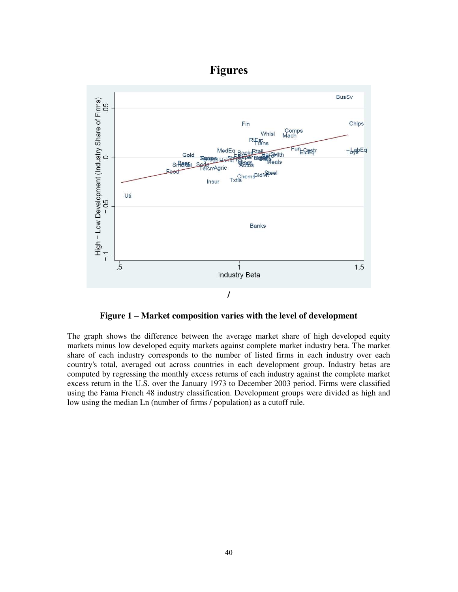# **Figures**



**Figure 1 – Market composition varies with the level of development** 

The graph shows the difference between the average market share of high developed equity markets minus low developed equity markets against complete market industry beta. The market share of each industry corresponds to the number of listed firms in each industry over each country's total, averaged out across countries in each development group. Industry betas are computed by regressing the monthly excess returns of each industry against the complete market excess return in the U.S. over the January 1973 to December 2003 period. Firms were classified using the Fama French 48 industry classification. Development groups were divided as high and low using the median Ln (number of firms / population) as a cutoff rule.